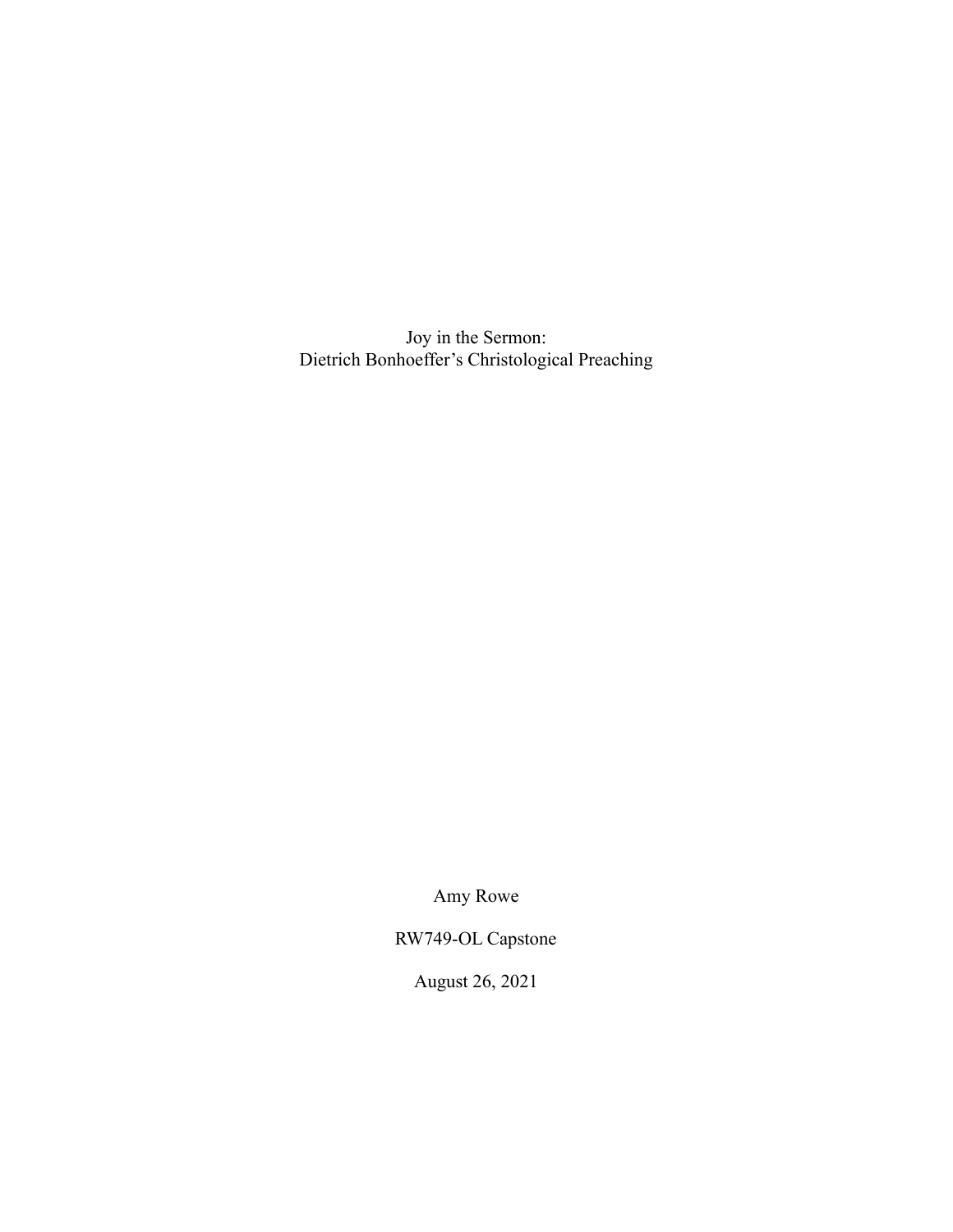Joy in the Sermon: Dietrich Bonhoeffer's Christological Preaching

Amy Rowe

RW749-OL Capstone

August 26, 2021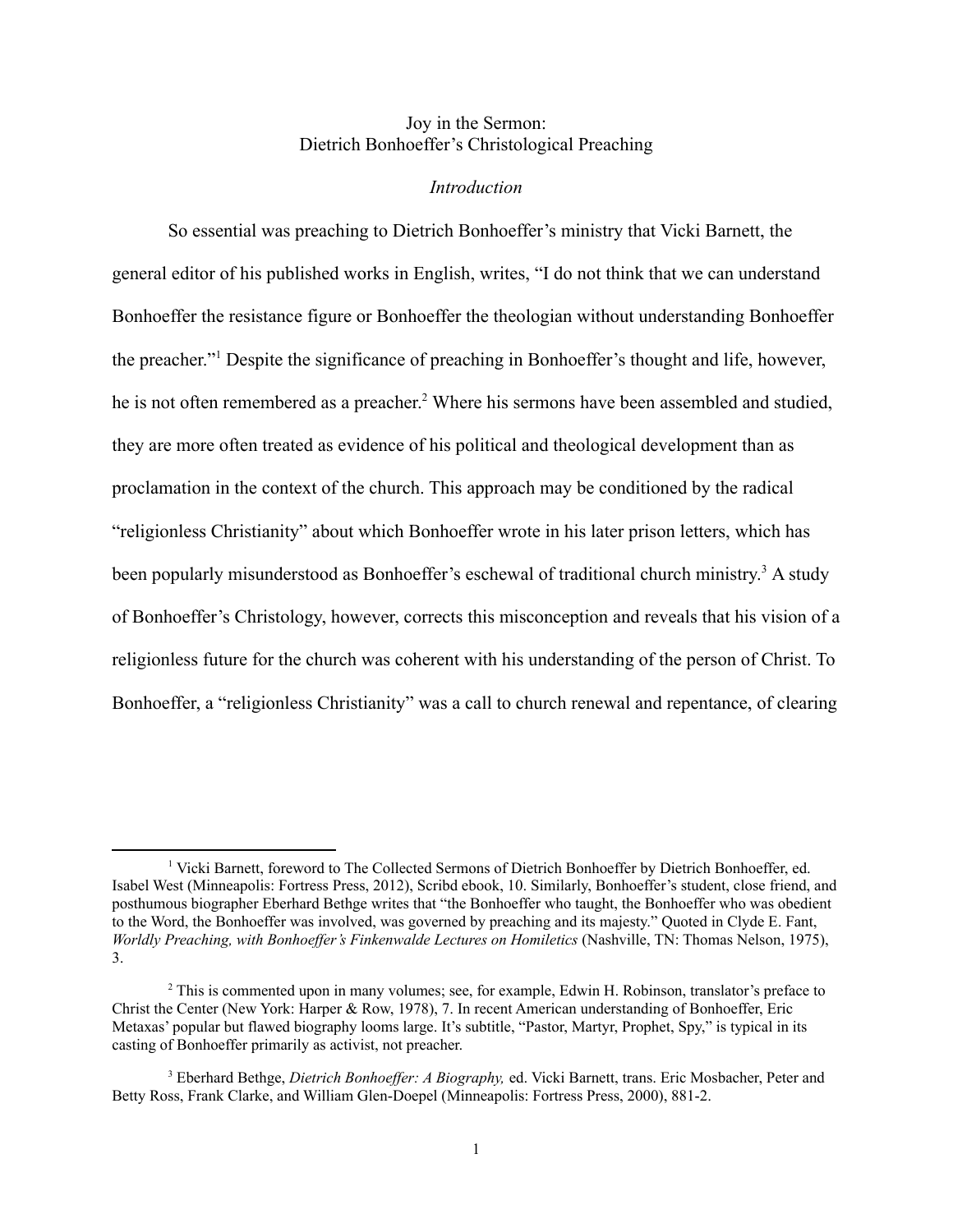## Joy in the Sermon: Dietrich Bonhoeffer's Christological Preaching

#### *Introduction*

So essential was preaching to Dietrich Bonhoeffer's ministry that Vicki Barnett, the general editor of his published works in English, writes, "I do not think that we can understand Bonhoeffer the resistance figure or Bonhoeffer the theologian without understanding Bonhoeffer the preacher."1 Despite the significance of preaching in Bonhoeffer's thought and life, however, he is not often remembered as a preacher.<sup>2</sup> Where his sermons have been assembled and studied, they are more often treated as evidence of his political and theological development than as proclamation in the context of the church. This approach may be conditioned by the radical "religionless Christianity" about which Bonhoeffer wrote in his later prison letters, which has been popularly misunderstood as Bonhoeffer's eschewal of traditional church ministry.<sup>3</sup> A study of Bonhoeffer's Christology, however, corrects this misconception and reveals that his vision of a religionless future for the church was coherent with his understanding of the person of Christ. To Bonhoeffer, a "religionless Christianity" was a call to church renewal and repentance, of clearing

<sup>&</sup>lt;sup>1</sup> Vicki Barnett, foreword to The Collected Sermons of Dietrich Bonhoeffer by Dietrich Bonhoeffer, ed. Isabel West (Minneapolis: Fortress Press, 2012), Scribd ebook, 10. Similarly, Bonhoeffer's student, close friend, and posthumous biographer Eberhard Bethge writes that "the Bonhoeffer who taught, the Bonhoeffer who was obedient to the Word, the Bonhoeffer was involved, was governed by preaching and its majesty." Quoted in Clyde E. Fant, *Worldly Preaching, with Bonhoeffer's Finkenwalde Lectures on Homiletics* (Nashville, TN: Thomas Nelson, 1975), 3.

<sup>&</sup>lt;sup>2</sup> This is commented upon in many volumes; see, for example, Edwin H. Robinson, translator's preface to Christ the Center (New York: Harper & Row, 1978), 7. In recent American understanding of Bonhoeffer, Eric Metaxas' popular but flawed biography looms large. It's subtitle, "Pastor, Martyr, Prophet, Spy," is typical in its casting of Bonhoeffer primarily as activist, not preacher.

<sup>3</sup> Eberhard Bethge, *Dietrich Bonhoeffer: A Biography,* ed. Vicki Barnett, trans. Eric Mosbacher, Peter and Betty Ross, Frank Clarke, and William Glen-Doepel (Minneapolis: Fortress Press, 2000), 881-2.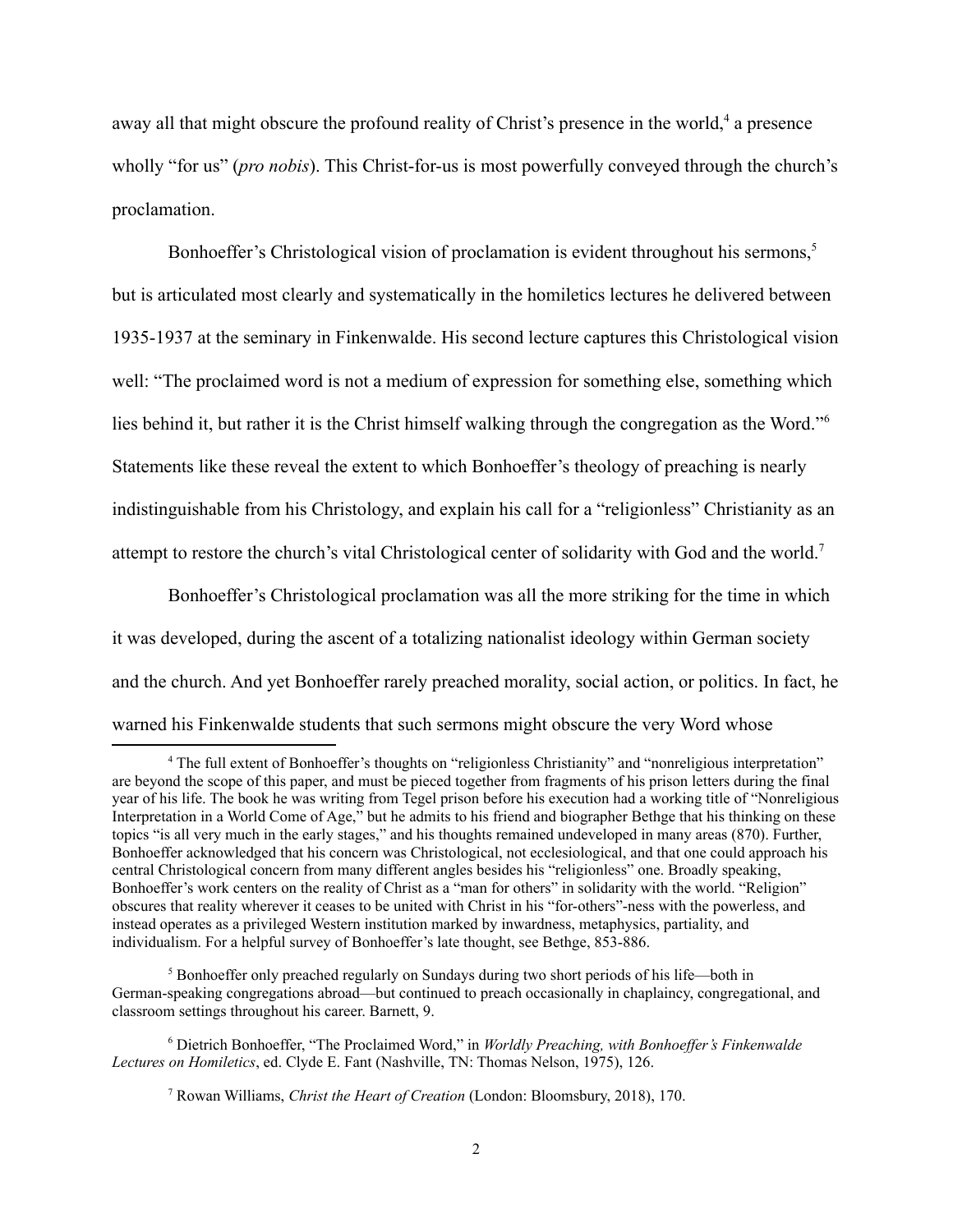away all that might obscure the profound reality of Christ's presence in the world,<sup>4</sup> a presence wholly "for us" (*pro nobis*). This Christ-for-us is most powerfully conveyed through the church's proclamation.

Bonhoeffer's Christological vision of proclamation is evident throughout his sermons,<sup>5</sup> but is articulated most clearly and systematically in the homiletics lectures he delivered between 1935-1937 at the seminary in Finkenwalde. His second lecture captures this Christological vision well: "The proclaimed word is not a medium of expression for something else, something which lies behind it, but rather it is the Christ himself walking through the congregation as the Word."6 Statements like these reveal the extent to which Bonhoeffer's theology of preaching is nearly indistinguishable from his Christology, and explain his call for a "religionless" Christianity as an attempt to restore the church's vital Christological center of solidarity with God and the world.7

Bonhoeffer's Christological proclamation was all the more striking for the time in which it was developed, during the ascent of a totalizing nationalist ideology within German society and the church. And yet Bonhoeffer rarely preached morality, social action, or politics. In fact, he warned his Finkenwalde students that such sermons might obscure the very Word whose

<sup>&</sup>lt;sup>4</sup> The full extent of Bonhoeffer's thoughts on "religionless Christianity" and "nonreligious interpretation" are beyond the scope of this paper, and must be pieced together from fragments of his prison letters during the final year of his life. The book he was writing from Tegel prison before his execution had a working title of "Nonreligious Interpretation in a World Come of Age," but he admits to his friend and biographer Bethge that his thinking on these topics "is all very much in the early stages," and his thoughts remained undeveloped in many areas (870). Further, Bonhoeffer acknowledged that his concern was Christological, not ecclesiological, and that one could approach his central Christological concern from many different angles besides his "religionless" one. Broadly speaking, Bonhoeffer's work centers on the reality of Christ as a "man for others" in solidarity with the world. "Religion" obscures that reality wherever it ceases to be united with Christ in his "for-others"-ness with the powerless, and instead operates as a privileged Western institution marked by inwardness, metaphysics, partiality, and individualism. For a helpful survey of Bonhoeffer's late thought, see Bethge, 853-886.

<sup>&</sup>lt;sup>5</sup> Bonhoeffer only preached regularly on Sundays during two short periods of his life—both in German-speaking congregations abroad—but continued to preach occasionally in chaplaincy, congregational, and classroom settings throughout his career. Barnett, 9.

<sup>6</sup> Dietrich Bonhoeffer, "The Proclaimed Word," in *Worldly Preaching, with Bonhoeffer's Finkenwalde Lectures on Homiletics*, ed. Clyde E. Fant (Nashville, TN: Thomas Nelson, 1975), 126.

<sup>7</sup> Rowan Williams, *Christ the Heart of Creation* (London: Bloomsbury, 2018), 170.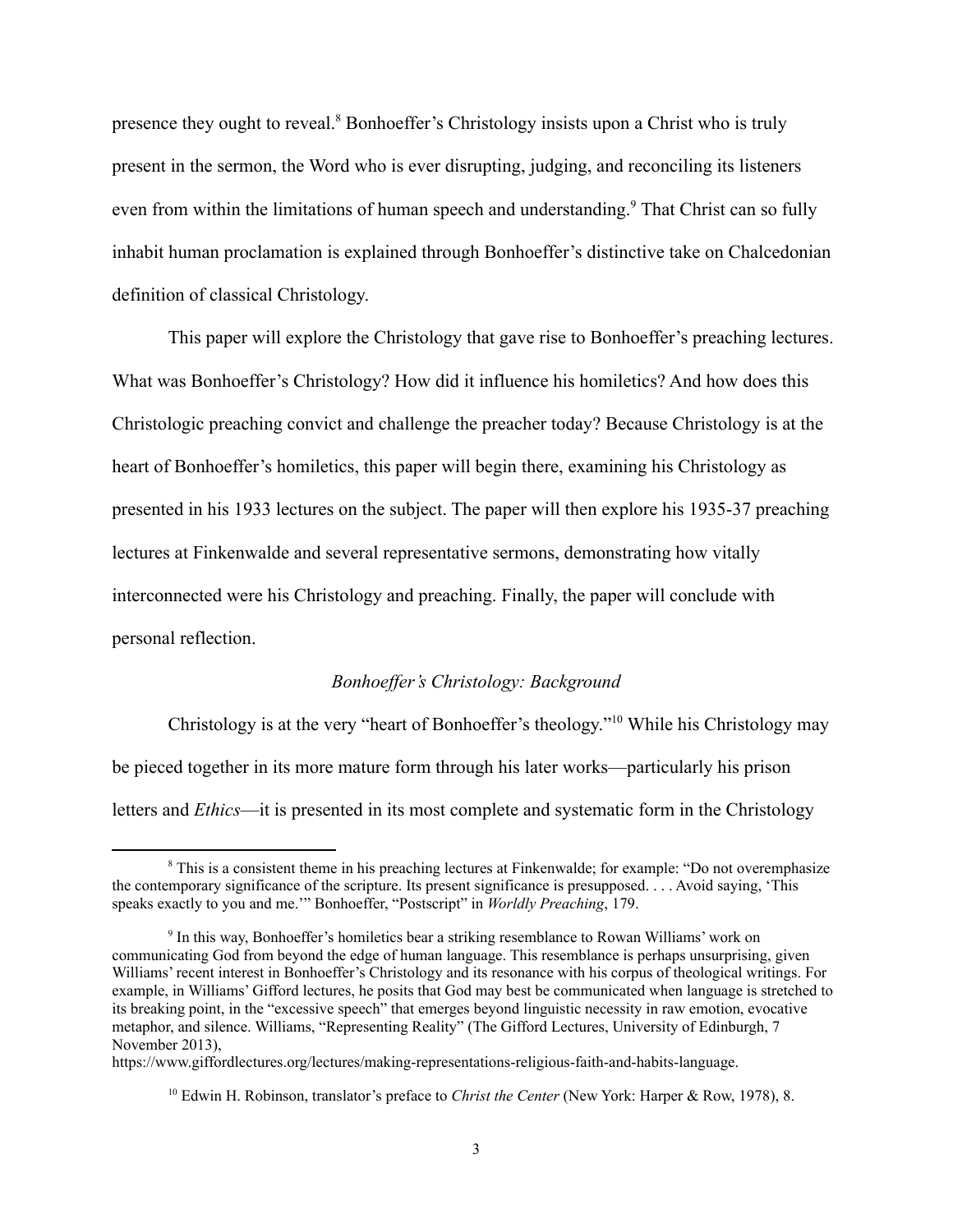presence they ought to reveal.8 Bonhoeffer's Christology insists upon a Christ who is truly present in the sermon, the Word who is ever disrupting, judging, and reconciling its listeners even from within the limitations of human speech and understanding.<sup>9</sup> That Christ can so fully inhabit human proclamation is explained through Bonhoeffer's distinctive take on Chalcedonian definition of classical Christology.

This paper will explore the Christology that gave rise to Bonhoeffer's preaching lectures. What was Bonhoeffer's Christology? How did it influence his homiletics? And how does this Christologic preaching convict and challenge the preacher today? Because Christology is at the heart of Bonhoeffer's homiletics, this paper will begin there, examining his Christology as presented in his 1933 lectures on the subject. The paper will then explore his 1935-37 preaching lectures at Finkenwalde and several representative sermons, demonstrating how vitally interconnected were his Christology and preaching. Finally, the paper will conclude with personal reflection.

### *Bonhoeffer's Christology: Background*

Christology is at the very "heart of Bonhoeffer's theology."10 While his Christology may be pieced together in its more mature form through his later works—particularly his prison letters and *Ethics*—it is presented in its most complete and systematic form in the Christology

<sup>8</sup> This is a consistent theme in his preaching lectures at Finkenwalde; for example: "Do not overemphasize the contemporary significance of the scripture. Its present significance is presupposed. . . . Avoid saying, 'This speaks exactly to you and me.'" Bonhoeffer, "Postscript" in *Worldly Preaching*, 179.

<sup>9</sup> In this way, Bonhoeffer's homiletics bear a striking resemblance to Rowan Williams' work on communicating God from beyond the edge of human language. This resemblance is perhaps unsurprising, given Williams' recent interest in Bonhoeffer's Christology and its resonance with his corpus of theological writings. For example, in Williams' Gifford lectures, he posits that God may best be communicated when language is stretched to its breaking point, in the "excessive speech" that emerges beyond linguistic necessity in raw emotion, evocative metaphor, and silence. Williams, "Representing Reality" (The Gifford Lectures, University of Edinburgh, 7 November 2013),

https://www.giffordlectures.org/lectures/making-representations-religious-faith-and-habits-language.

<sup>10</sup> Edwin H. Robinson, translator's preface to *Christ the Center* (New York: Harper & Row, 1978), 8.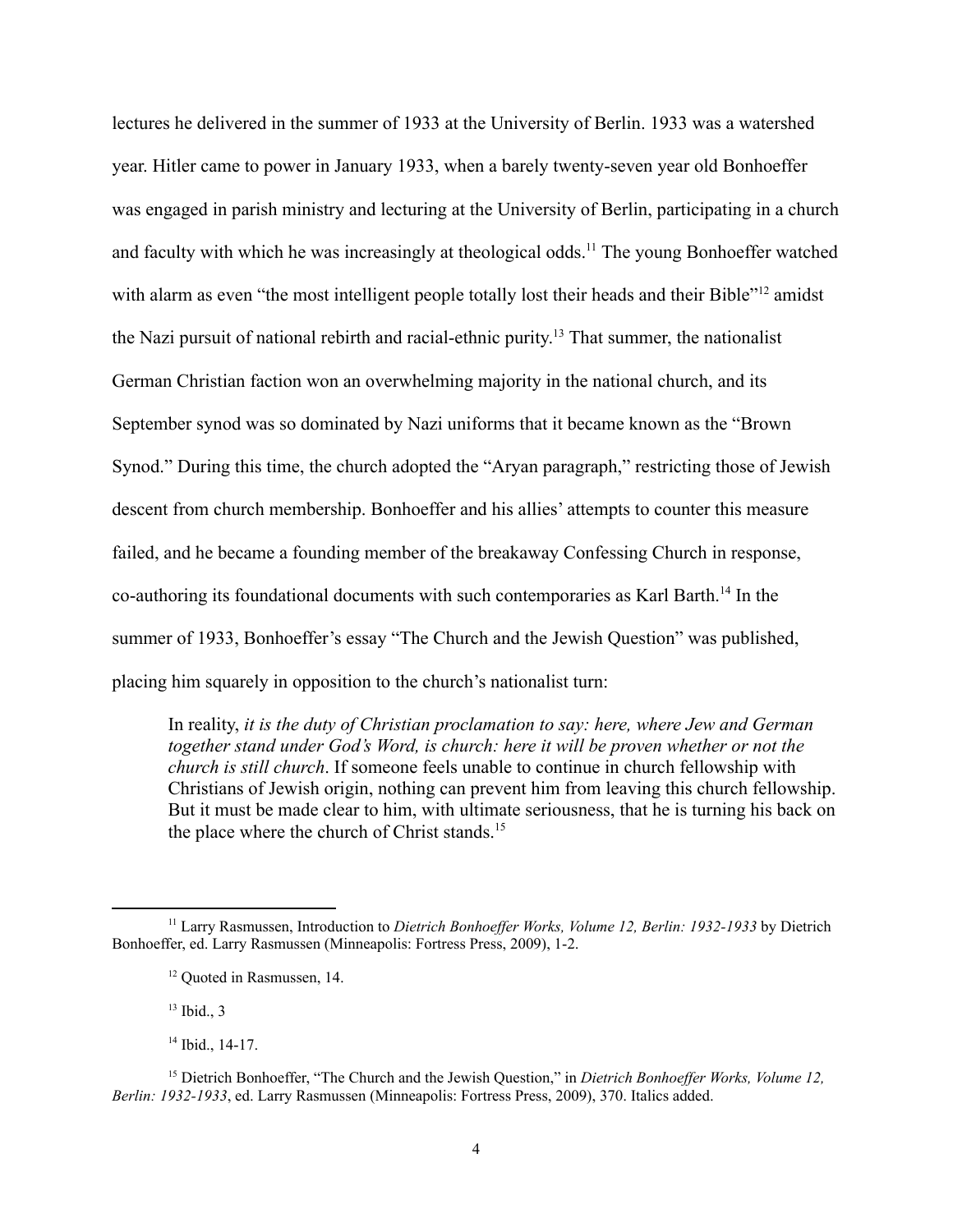lectures he delivered in the summer of 1933 at the University of Berlin. 1933 was a watershed year. Hitler came to power in January 1933, when a barely twenty-seven year old Bonhoeffer was engaged in parish ministry and lecturing at the University of Berlin, participating in a church and faculty with which he was increasingly at theological odds.<sup>11</sup> The young Bonhoeffer watched with alarm as even "the most intelligent people totally lost their heads and their Bible"<sup>12</sup> amidst the Nazi pursuit of national rebirth and racial-ethnic purity. <sup>13</sup> That summer, the nationalist German Christian faction won an overwhelming majority in the national church, and its September synod was so dominated by Nazi uniforms that it became known as the "Brown Synod." During this time, the church adopted the "Aryan paragraph," restricting those of Jewish descent from church membership. Bonhoeffer and his allies' attempts to counter this measure failed, and he became a founding member of the breakaway Confessing Church in response, co-authoring its foundational documents with such contemporaries as Karl Barth.14 In the summer of 1933, Bonhoeffer's essay "The Church and the Jewish Question" was published, placing him squarely in opposition to the church's nationalist turn:

In reality, *it is the duty of Christian proclamation to say: here, where Jew and German together stand under God's Word, is church: here it will be proven whether or not the church is still church*. If someone feels unable to continue in church fellowship with Christians of Jewish origin, nothing can prevent him from leaving this church fellowship. But it must be made clear to him, with ultimate seriousness, that he is turning his back on the place where the church of Christ stands.<sup>15</sup>

 $13$  Ibid., 3

<sup>11</sup> Larry Rasmussen, Introduction to *Dietrich Bonhoeffer Works, Volume 12, Berlin: 1932-1933* by Dietrich Bonhoeffer, ed. Larry Rasmussen (Minneapolis: Fortress Press, 2009), 1-2.

<sup>&</sup>lt;sup>12</sup> Ouoted in Rasmussen, 14.

<sup>&</sup>lt;sup>14</sup> Ibid., 14-17.

<sup>15</sup> Dietrich Bonhoeffer, "The Church and the Jewish Question," in *Dietrich Bonhoeffer Works, Volume 12, Berlin: 1932-1933*, ed. Larry Rasmussen (Minneapolis: Fortress Press, 2009), 370. Italics added.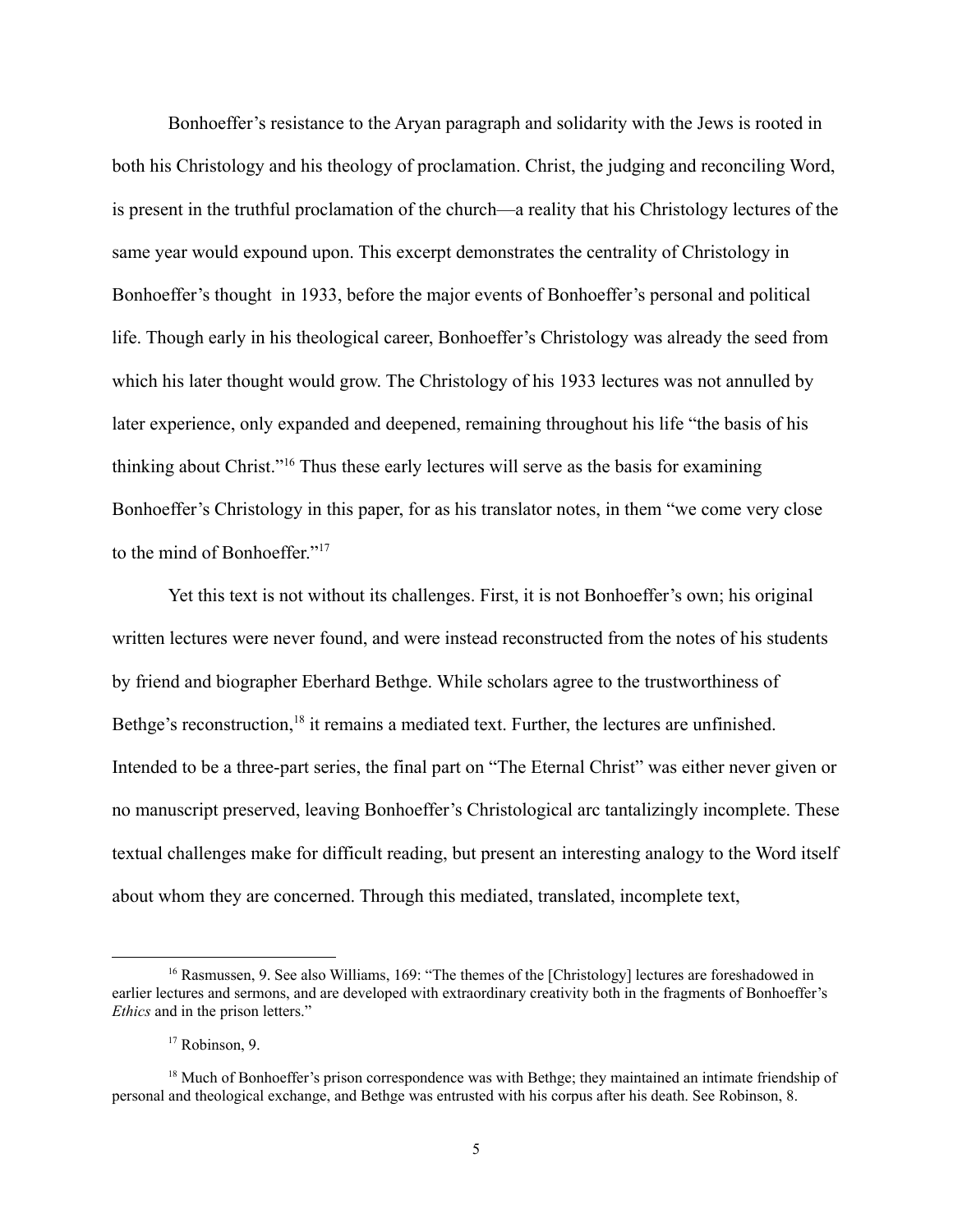Bonhoeffer's resistance to the Aryan paragraph and solidarity with the Jews is rooted in both his Christology and his theology of proclamation. Christ, the judging and reconciling Word, is present in the truthful proclamation of the church—a reality that his Christology lectures of the same year would expound upon. This excerpt demonstrates the centrality of Christology in Bonhoeffer's thought in 1933, before the major events of Bonhoeffer's personal and political life. Though early in his theological career, Bonhoeffer's Christology was already the seed from which his later thought would grow. The Christology of his 1933 lectures was not annulled by later experience, only expanded and deepened, remaining throughout his life "the basis of his thinking about Christ."16 Thus these early lectures will serve as the basis for examining Bonhoeffer's Christology in this paper, for as his translator notes, in them "we come very close to the mind of Bonhoeffer."17

Yet this text is not without its challenges. First, it is not Bonhoeffer's own; his original written lectures were never found, and were instead reconstructed from the notes of his students by friend and biographer Eberhard Bethge. While scholars agree to the trustworthiness of Bethge's reconstruction,<sup>18</sup> it remains a mediated text. Further, the lectures are unfinished. Intended to be a three-part series, the final part on "The Eternal Christ" was either never given or no manuscript preserved, leaving Bonhoeffer's Christological arc tantalizingly incomplete. These textual challenges make for difficult reading, but present an interesting analogy to the Word itself about whom they are concerned. Through this mediated, translated, incomplete text,

<sup>&</sup>lt;sup>16</sup> Rasmussen, 9. See also Williams, 169: "The themes of the [Christology] lectures are foreshadowed in earlier lectures and sermons, and are developed with extraordinary creativity both in the fragments of Bonhoeffer's *Ethics* and in the prison letters."

<sup>&</sup>lt;sup>17</sup> Robinson, 9.

<sup>&</sup>lt;sup>18</sup> Much of Bonhoeffer's prison correspondence was with Bethge; they maintained an intimate friendship of personal and theological exchange, and Bethge was entrusted with his corpus after his death. See Robinson, 8.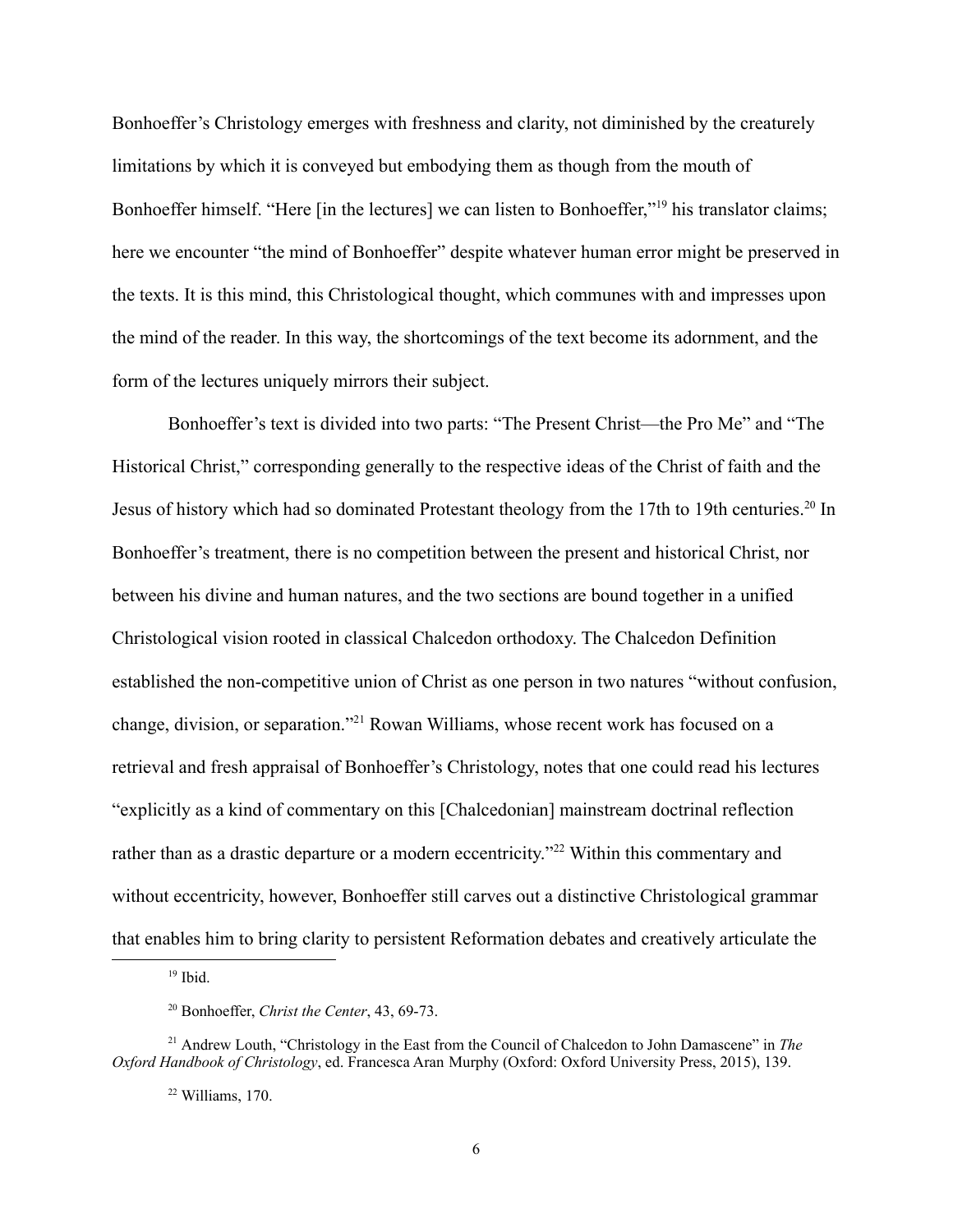Bonhoeffer's Christology emerges with freshness and clarity, not diminished by the creaturely limitations by which it is conveyed but embodying them as though from the mouth of Bonhoeffer himself. "Here [in the lectures] we can listen to Bonhoeffer,"19 his translator claims; here we encounter "the mind of Bonhoeffer" despite whatever human error might be preserved in the texts. It is this mind, this Christological thought, which communes with and impresses upon the mind of the reader. In this way, the shortcomings of the text become its adornment, and the form of the lectures uniquely mirrors their subject.

Bonhoeffer's text is divided into two parts: "The Present Christ—the Pro Me" and "The Historical Christ," corresponding generally to the respective ideas of the Christ of faith and the Jesus of history which had so dominated Protestant theology from the 17th to 19th centuries.<sup>20</sup> In Bonhoeffer's treatment, there is no competition between the present and historical Christ, nor between his divine and human natures, and the two sections are bound together in a unified Christological vision rooted in classical Chalcedon orthodoxy. The Chalcedon Definition established the non-competitive union of Christ as one person in two natures "without confusion, change, division, or separation."21 Rowan Williams, whose recent work has focused on a retrieval and fresh appraisal of Bonhoeffer's Christology, notes that one could read his lectures "explicitly as a kind of commentary on this [Chalcedonian] mainstream doctrinal reflection rather than as a drastic departure or a modern eccentricity."<sup>22</sup> Within this commentary and without eccentricity, however, Bonhoeffer still carves out a distinctive Christological grammar that enables him to bring clarity to persistent Reformation debates and creatively articulate the

 $19$  Ibid.

<sup>20</sup> Bonhoeffer, *Christ the Center*, 43, 69-73.

<sup>&</sup>lt;sup>21</sup> Andrew Louth, "Christology in the East from the Council of Chalcedon to John Damascene" in *The Oxford Handbook of Christology*, ed. Francesca Aran Murphy (Oxford: Oxford University Press, 2015), 139.

 $22$  Williams, 170.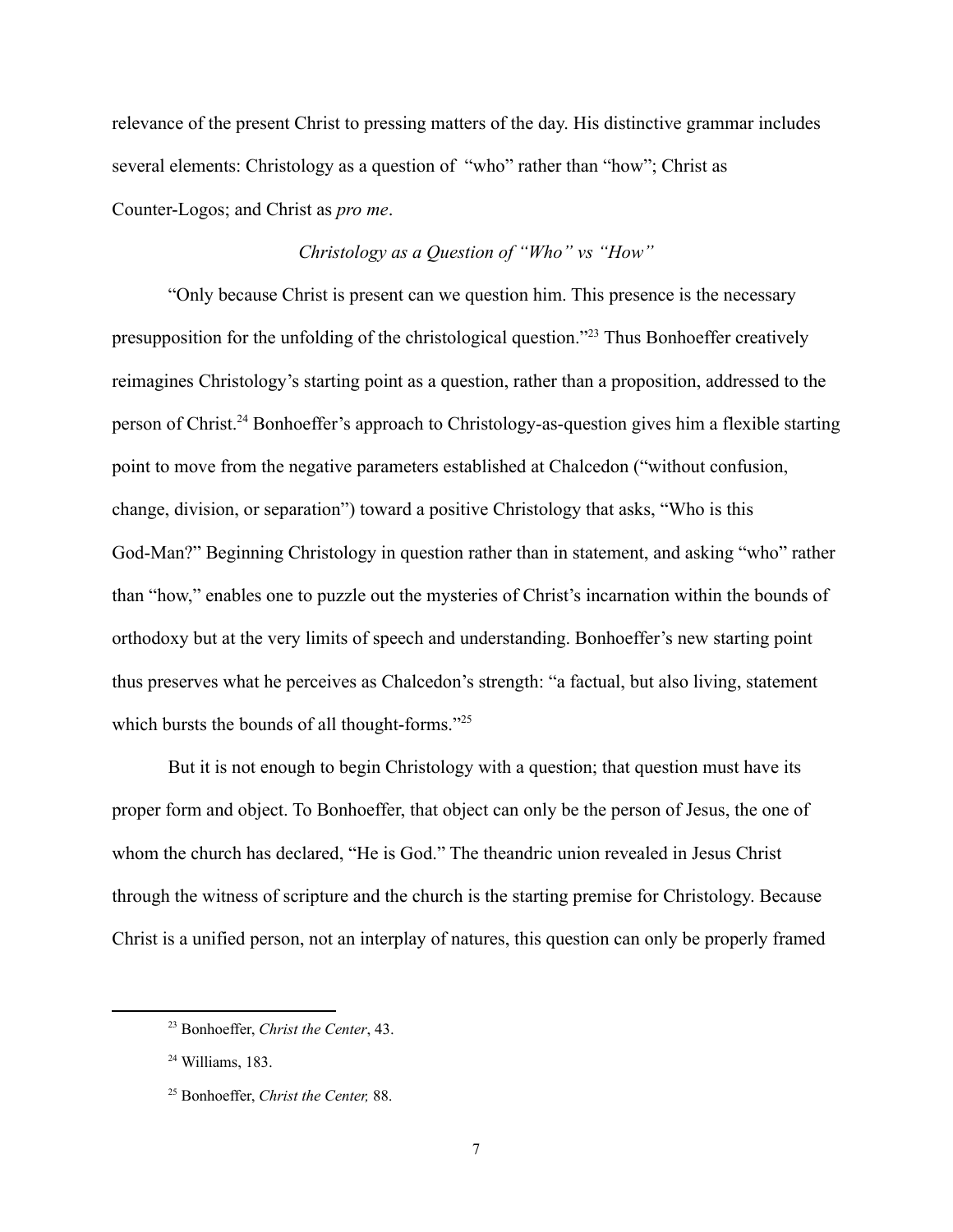relevance of the present Christ to pressing matters of the day. His distinctive grammar includes several elements: Christology as a question of "who" rather than "how"; Christ as Counter-Logos; and Christ as *pro me*.

## *Christology as a Question of "Who" vs "How"*

"Only because Christ is present can we question him. This presence is the necessary presupposition for the unfolding of the christological question."23 Thus Bonhoeffer creatively reimagines Christology's starting point as a question, rather than a proposition, addressed to the person of Christ.24 Bonhoeffer's approach to Christology-as-question gives him a flexible starting point to move from the negative parameters established at Chalcedon ("without confusion, change, division, or separation") toward a positive Christology that asks, "Who is this God-Man?" Beginning Christology in question rather than in statement, and asking "who" rather than "how," enables one to puzzle out the mysteries of Christ's incarnation within the bounds of orthodoxy but at the very limits of speech and understanding. Bonhoeffer's new starting point thus preserves what he perceives as Chalcedon's strength: "a factual, but also living, statement which bursts the bounds of all thought-forms."<sup>25</sup>

But it is not enough to begin Christology with a question; that question must have its proper form and object. To Bonhoeffer, that object can only be the person of Jesus, the one of whom the church has declared, "He is God." The theandric union revealed in Jesus Christ through the witness of scripture and the church is the starting premise for Christology. Because Christ is a unified person, not an interplay of natures, this question can only be properly framed

<sup>23</sup> Bonhoeffer, *Christ the Center*, 43.

<sup>24</sup> Williams, 183.

<sup>25</sup> Bonhoeffer, *Christ the Center,* 88.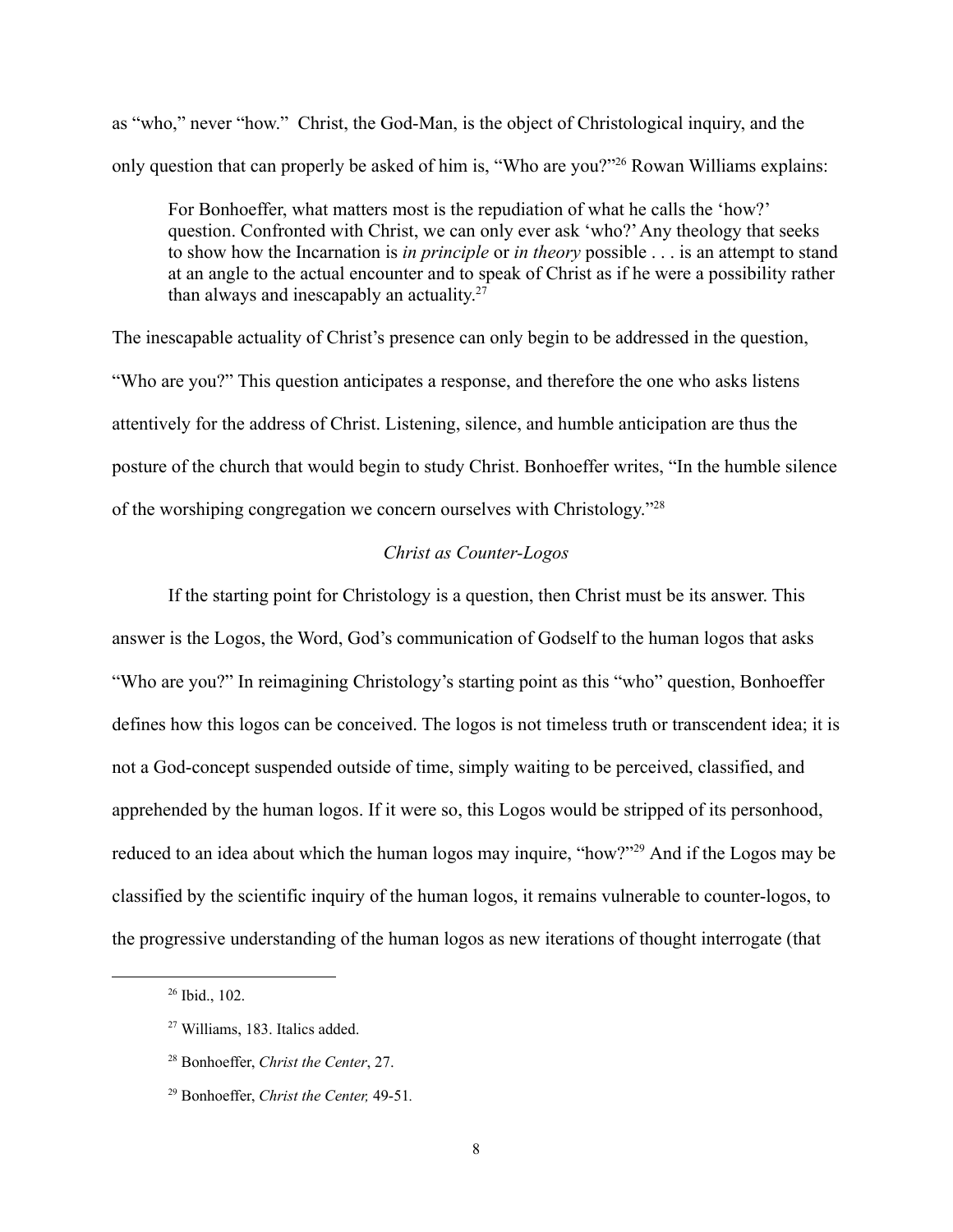as "who," never "how." Christ, the God-Man, is the object of Christological inquiry, and the only question that can properly be asked of him is, "Who are you?"26 Rowan Williams explains:

For Bonhoeffer, what matters most is the repudiation of what he calls the 'how?' question. Confronted with Christ, we can only ever ask 'who?'Any theology that seeks to show how the Incarnation is *in principle* or *in theory* possible . . . is an attempt to stand at an angle to the actual encounter and to speak of Christ as if he were a possibility rather than always and inescapably an actuality. $27$ 

The inescapable actuality of Christ's presence can only begin to be addressed in the question, "Who are you?" This question anticipates a response, and therefore the one who asks listens attentively for the address of Christ. Listening, silence, and humble anticipation are thus the posture of the church that would begin to study Christ. Bonhoeffer writes, "In the humble silence of the worshiping congregation we concern ourselves with Christology."28

## *Christ as Counter-Logos*

If the starting point for Christology is a question, then Christ must be its answer. This answer is the Logos, the Word, God's communication of Godself to the human logos that asks "Who are you?" In reimagining Christology's starting point as this "who" question, Bonhoeffer defines how this logos can be conceived. The logos is not timeless truth or transcendent idea; it is not a God-concept suspended outside of time, simply waiting to be perceived, classified, and apprehended by the human logos. If it were so, this Logos would be stripped of its personhood, reduced to an idea about which the human logos may inquire, "how?"29 And if the Logos may be classified by the scientific inquiry of the human logos, it remains vulnerable to counter-logos, to the progressive understanding of the human logos as new iterations of thought interrogate (that

<sup>26</sup> Ibid., 102.

<sup>27</sup> Williams, 183. Italics added.

<sup>28</sup> Bonhoeffer, *Christ the Center*, 27.

<sup>29</sup> Bonhoeffer, *Christ the Center,* 49-51*.*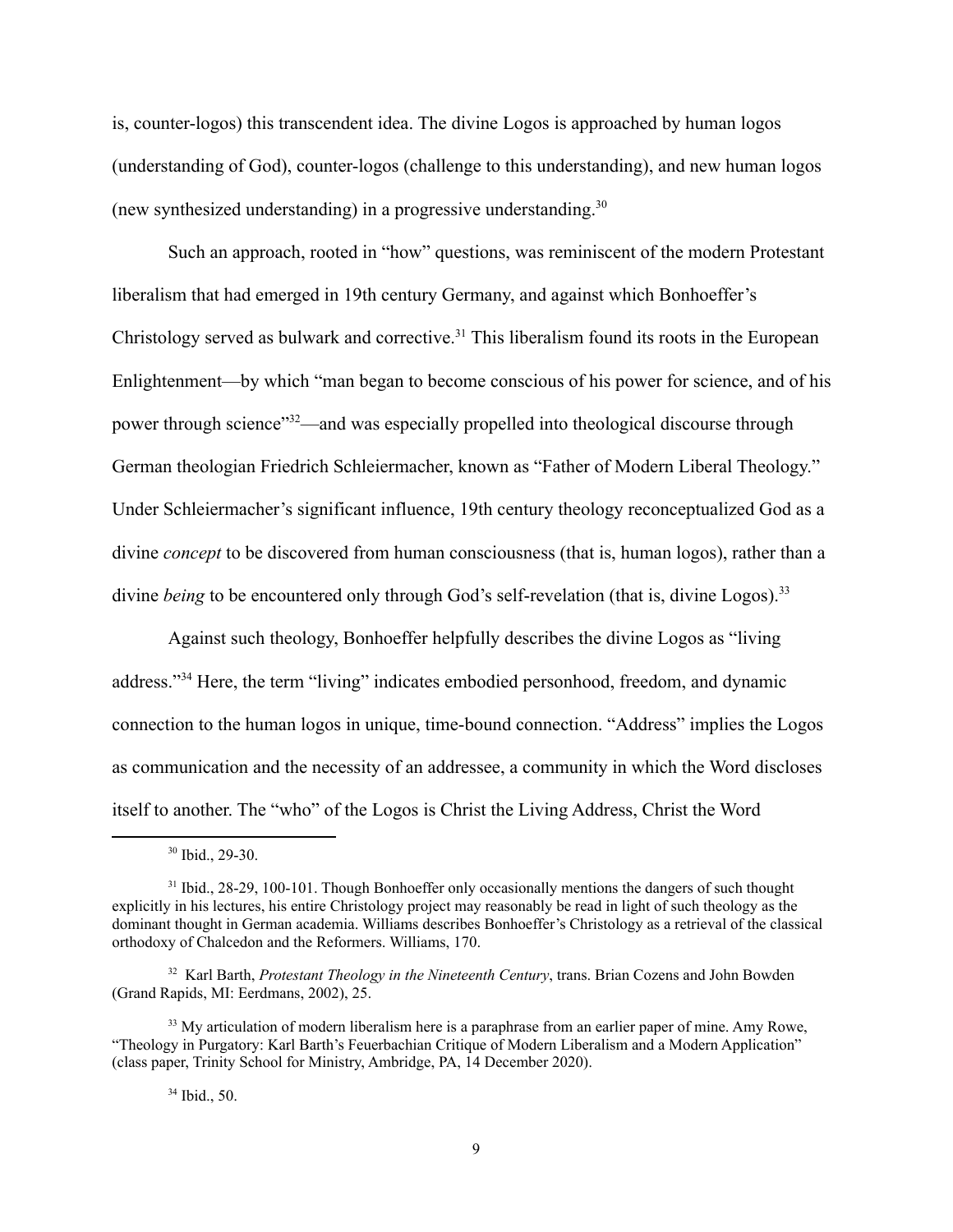is, counter-logos) this transcendent idea. The divine Logos is approached by human logos (understanding of God), counter-logos (challenge to this understanding), and new human logos (new synthesized understanding) in a progressive understanding.<sup>30</sup>

Such an approach, rooted in "how" questions, was reminiscent of the modern Protestant liberalism that had emerged in 19th century Germany, and against which Bonhoeffer's Christology served as bulwark and corrective.<sup>31</sup> This liberalism found its roots in the European Enlightenment—by which "man began to become conscious of his power for science, and of his power through science"<sup>32</sup>—and was especially propelled into theological discourse through German theologian Friedrich Schleiermacher, known as "Father of Modern Liberal Theology." Under Schleiermacher's significant influence, 19th century theology reconceptualized God as a divine *concept* to be discovered from human consciousness (that is, human logos), rather than a divine *being* to be encountered only through God's self-revelation (that is, divine Logos).<sup>33</sup>

Against such theology, Bonhoeffer helpfully describes the divine Logos as "living address."34 Here, the term "living" indicates embodied personhood, freedom, and dynamic connection to the human logos in unique, time-bound connection. "Address" implies the Logos as communication and the necessity of an addressee, a community in which the Word discloses itself to another. The "who" of the Logos is Christ the Living Address, Christ the Word

<sup>30</sup> Ibid., 29-30.

<sup>&</sup>lt;sup>31</sup> Ibid., 28-29, 100-101. Though Bonhoeffer only occasionally mentions the dangers of such thought explicitly in his lectures, his entire Christology project may reasonably be read in light of such theology as the dominant thought in German academia. Williams describes Bonhoeffer's Christology as a retrieval of the classical orthodoxy of Chalcedon and the Reformers. Williams, 170.

<sup>32</sup> Karl Barth, *Protestant Theology in the Nineteenth Century*, trans. Brian Cozens and John Bowden (Grand Rapids, MI: Eerdmans, 2002), 25.

<sup>&</sup>lt;sup>33</sup> My articulation of modern liberalism here is a paraphrase from an earlier paper of mine. Amy Rowe, "Theology in Purgatory: Karl Barth's Feuerbachian Critique of Modern Liberalism and a Modern Application" (class paper, Trinity School for Ministry, Ambridge, PA, 14 December 2020).

<sup>34</sup> Ibid., 50.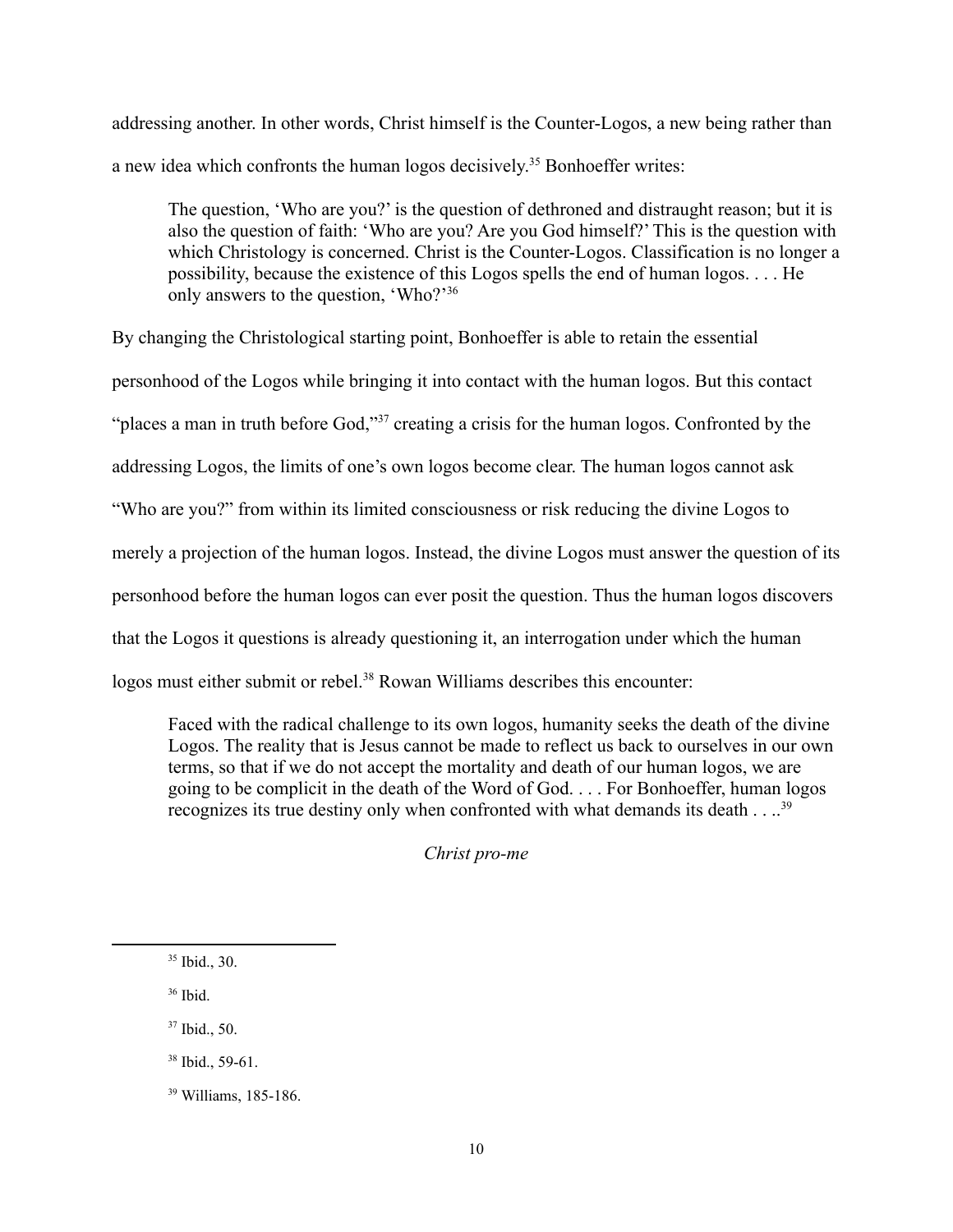addressing another. In other words, Christ himself is the Counter-Logos, a new being rather than a new idea which confronts the human logos decisively.<sup>35</sup> Bonhoeffer writes:

The question, 'Who are you?' is the question of dethroned and distraught reason; but it is also the question of faith: 'Who are you? Are you God himself?' This is the question with which Christology is concerned. Christ is the Counter-Logos. Classification is no longer a possibility, because the existence of this Logos spells the end of human logos. . . . He only answers to the question, 'Who?'36

By changing the Christological starting point, Bonhoeffer is able to retain the essential personhood of the Logos while bringing it into contact with the human logos. But this contact "places a man in truth before God,"<sup>37</sup> creating a crisis for the human logos. Confronted by the addressing Logos, the limits of one's own logos become clear. The human logos cannot ask "Who are you?" from within its limited consciousness or risk reducing the divine Logos to merely a projection of the human logos. Instead, the divine Logos must answer the question of its personhood before the human logos can ever posit the question. Thus the human logos discovers that the Logos it questions is already questioning it, an interrogation under which the human logos must either submit or rebel.<sup>38</sup> Rowan Williams describes this encounter:

Faced with the radical challenge to its own logos, humanity seeks the death of the divine Logos. The reality that is Jesus cannot be made to reflect us back to ourselves in our own terms, so that if we do not accept the mortality and death of our human logos, we are going to be complicit in the death of the Word of God. . . . For Bonhoeffer, human logos recognizes its true destiny only when confronted with what demands its death . . ..<sup>39</sup>

*Christ pro-me*

- <sup>36</sup> Ibid.
- <sup>37</sup> Ibid., 50.
- <sup>38</sup> Ibid., 59-61.

 $35$  Ibid., 30.

<sup>39</sup> Williams, 185-186.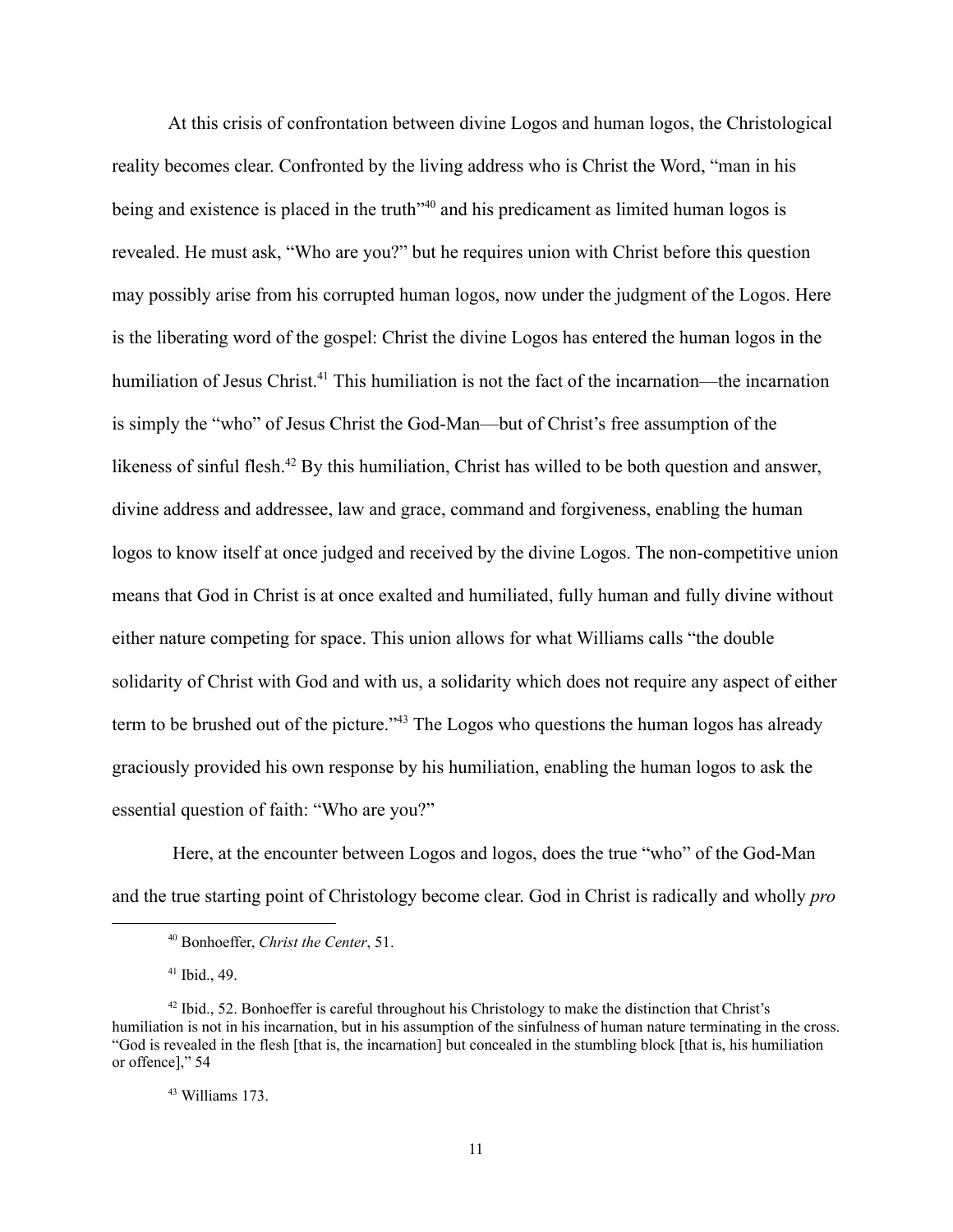At this crisis of confrontation between divine Logos and human logos, the Christological reality becomes clear. Confronted by the living address who is Christ the Word, "man in his being and existence is placed in the truth<sup>-40</sup> and his predicament as limited human logos is revealed. He must ask, "Who are you?" but he requires union with Christ before this question may possibly arise from his corrupted human logos, now under the judgment of the Logos. Here is the liberating word of the gospel: Christ the divine Logos has entered the human logos in the humiliation of Jesus Christ.<sup>41</sup> This humiliation is not the fact of the incarnation—the incarnation is simply the "who" of Jesus Christ the God-Man—but of Christ's free assumption of the likeness of sinful flesh.<sup>42</sup> By this humiliation, Christ has willed to be both question and answer, divine address and addressee, law and grace, command and forgiveness, enabling the human logos to know itself at once judged and received by the divine Logos. The non-competitive union means that God in Christ is at once exalted and humiliated, fully human and fully divine without either nature competing for space. This union allows for what Williams calls "the double solidarity of Christ with God and with us, a solidarity which does not require any aspect of either term to be brushed out of the picture."<sup>43</sup> The Logos who questions the human logos has already graciously provided his own response by his humiliation, enabling the human logos to ask the essential question of faith: "Who are you?"

Here, at the encounter between Logos and logos, does the true "who" of the God-Man and the true starting point of Christology become clear. God in Christ is radically and wholly *pro*

<sup>40</sup> Bonhoeffer, *Christ the Center*, 51.

 $41$  Ibid., 49.

 $42$  Ibid., 52. Bonhoeffer is careful throughout his Christology to make the distinction that Christ's humiliation is not in his incarnation, but in his assumption of the sinfulness of human nature terminating in the cross. "God is revealed in the flesh [that is, the incarnation] but concealed in the stumbling block [that is, his humiliation or offence]," 54

<sup>43</sup> Williams 173.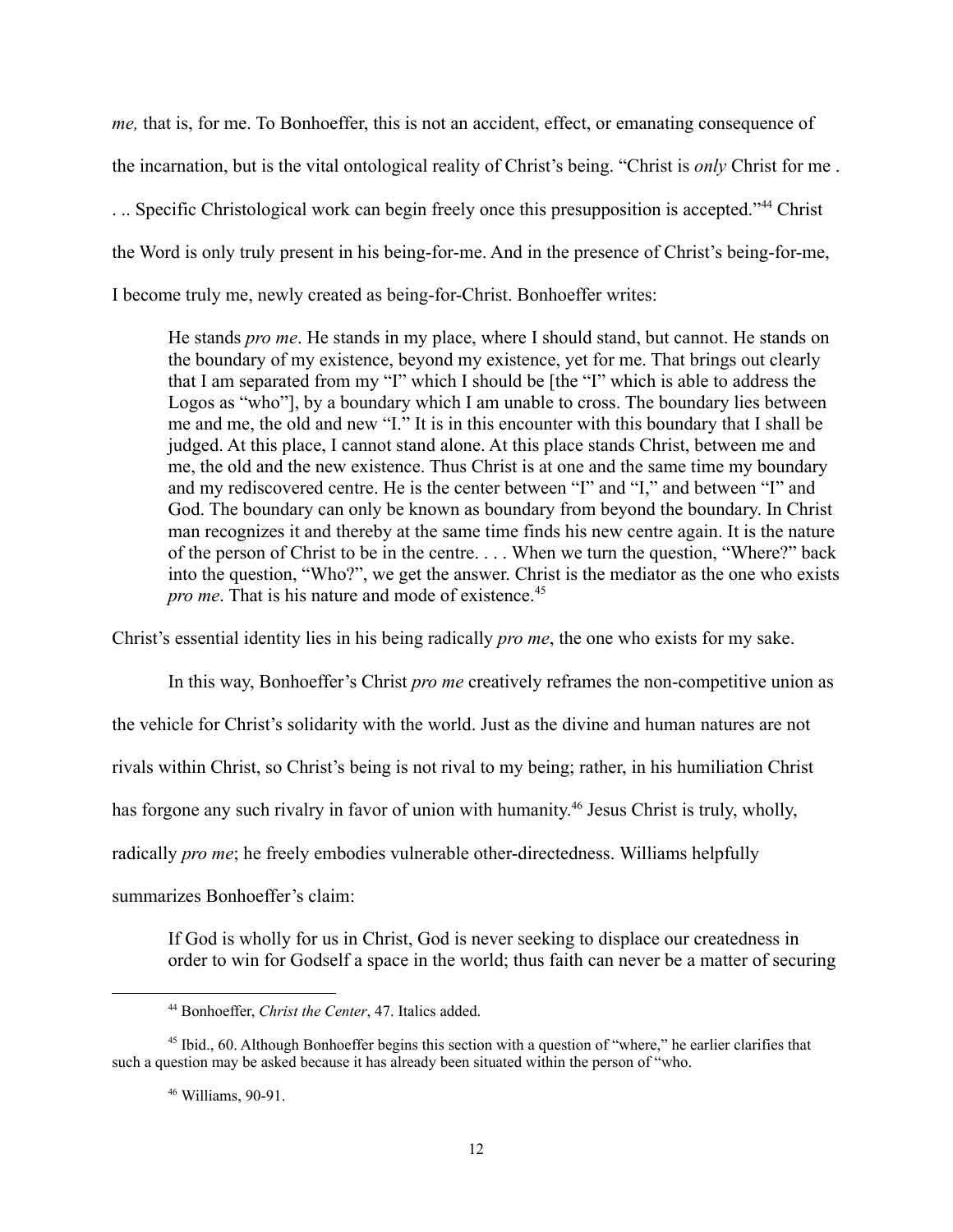*me,* that is, for me. To Bonhoeffer, this is not an accident, effect, or emanating consequence of the incarnation, but is the vital ontological reality of Christ's being. "Christ is *only* Christ for me . ... Specific Christological work can begin freely once this presupposition is accepted."<sup>44</sup> Christ the Word is only truly present in his being-for-me. And in the presence of Christ's being-for-me, I become truly me, newly created as being-for-Christ. Bonhoeffer writes:

He stands *pro me*. He stands in my place, where I should stand, but cannot. He stands on the boundary of my existence, beyond my existence, yet for me. That brings out clearly that I am separated from my "I" which I should be [the "I" which is able to address the Logos as "who"], by a boundary which I am unable to cross. The boundary lies between me and me, the old and new "I." It is in this encounter with this boundary that I shall be judged. At this place, I cannot stand alone. At this place stands Christ, between me and me, the old and the new existence. Thus Christ is at one and the same time my boundary and my rediscovered centre. He is the center between "I" and "I," and between "I" and God. The boundary can only be known as boundary from beyond the boundary. In Christ man recognizes it and thereby at the same time finds his new centre again. It is the nature of the person of Christ to be in the centre. . . . When we turn the question, "Where?" back into the question, "Who?", we get the answer. Christ is the mediator as the one who exists *pro me*. That is his nature and mode of existence.<sup>45</sup>

Christ's essential identity lies in his being radically *pro me*, the one who exists for my sake.

In this way, Bonhoeffer's Christ *pro me* creatively reframes the non-competitive union as the vehicle for Christ's solidarity with the world. Just as the divine and human natures are not rivals within Christ, so Christ's being is not rival to my being; rather, in his humiliation Christ has forgone any such rivalry in favor of union with humanity.<sup>46</sup> Jesus Christ is truly, wholly, radically *pro me*; he freely embodies vulnerable other-directedness. Williams helpfully summarizes Bonhoeffer's claim:

If God is wholly for us in Christ, God is never seeking to displace our createdness in order to win for Godself a space in the world; thus faith can never be a matter of securing

<sup>44</sup> Bonhoeffer, *Christ the Center*, 47. Italics added.

<sup>&</sup>lt;sup>45</sup> Ibid., 60. Although Bonhoeffer begins this section with a question of "where," he earlier clarifies that such a question may be asked because it has already been situated within the person of "who.

<sup>46</sup> Williams, 90-91.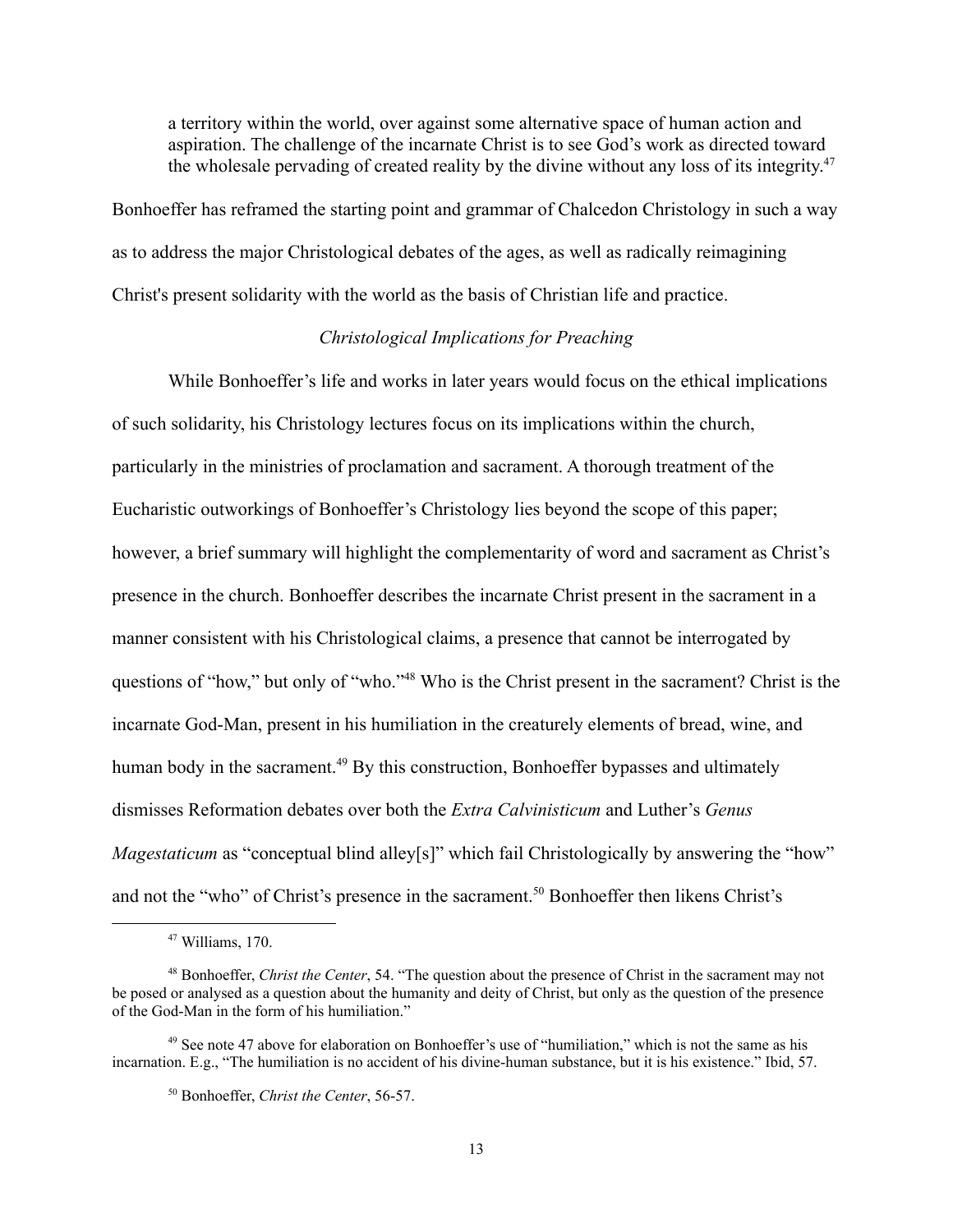a territory within the world, over against some alternative space of human action and aspiration. The challenge of the incarnate Christ is to see God's work as directed toward the wholesale pervading of created reality by the divine without any loss of its integrity.<sup>47</sup>

Bonhoeffer has reframed the starting point and grammar of Chalcedon Christology in such a way as to address the major Christological debates of the ages, as well as radically reimagining Christ's present solidarity with the world as the basis of Christian life and practice.

## *Christological Implications for Preaching*

While Bonhoeffer's life and works in later years would focus on the ethical implications of such solidarity, his Christology lectures focus on its implications within the church, particularly in the ministries of proclamation and sacrament. A thorough treatment of the Eucharistic outworkings of Bonhoeffer's Christology lies beyond the scope of this paper; however, a brief summary will highlight the complementarity of word and sacrament as Christ's presence in the church. Bonhoeffer describes the incarnate Christ present in the sacrament in a manner consistent with his Christological claims, a presence that cannot be interrogated by questions of "how," but only of "who."48 Who is the Christ present in the sacrament? Christ is the incarnate God-Man, present in his humiliation in the creaturely elements of bread, wine, and human body in the sacrament.<sup>49</sup> By this construction, Bonhoeffer bypasses and ultimately dismisses Reformation debates over both the *Extra Calvinisticum* and Luther's *Genus Magestaticum* as "conceptual blind alley[s]" which fail Christologically by answering the "how" and not the "who" of Christ's presence in the sacrament.<sup>50</sup> Bonhoeffer then likens Christ's

 $47$  Williams, 170.

<sup>48</sup> Bonhoeffer, *Christ the Center*, 54. "The question about the presence of Christ in the sacrament may not be posed or analysed as a question about the humanity and deity of Christ, but only as the question of the presence of the God-Man in the form of his humiliation."

<sup>&</sup>lt;sup>49</sup> See note 47 above for elaboration on Bonhoeffer's use of "humiliation," which is not the same as his incarnation. E.g., "The humiliation is no accident of his divine-human substance, but it is his existence." Ibid, 57.

<sup>50</sup> Bonhoeffer, *Christ the Center*, 56-57.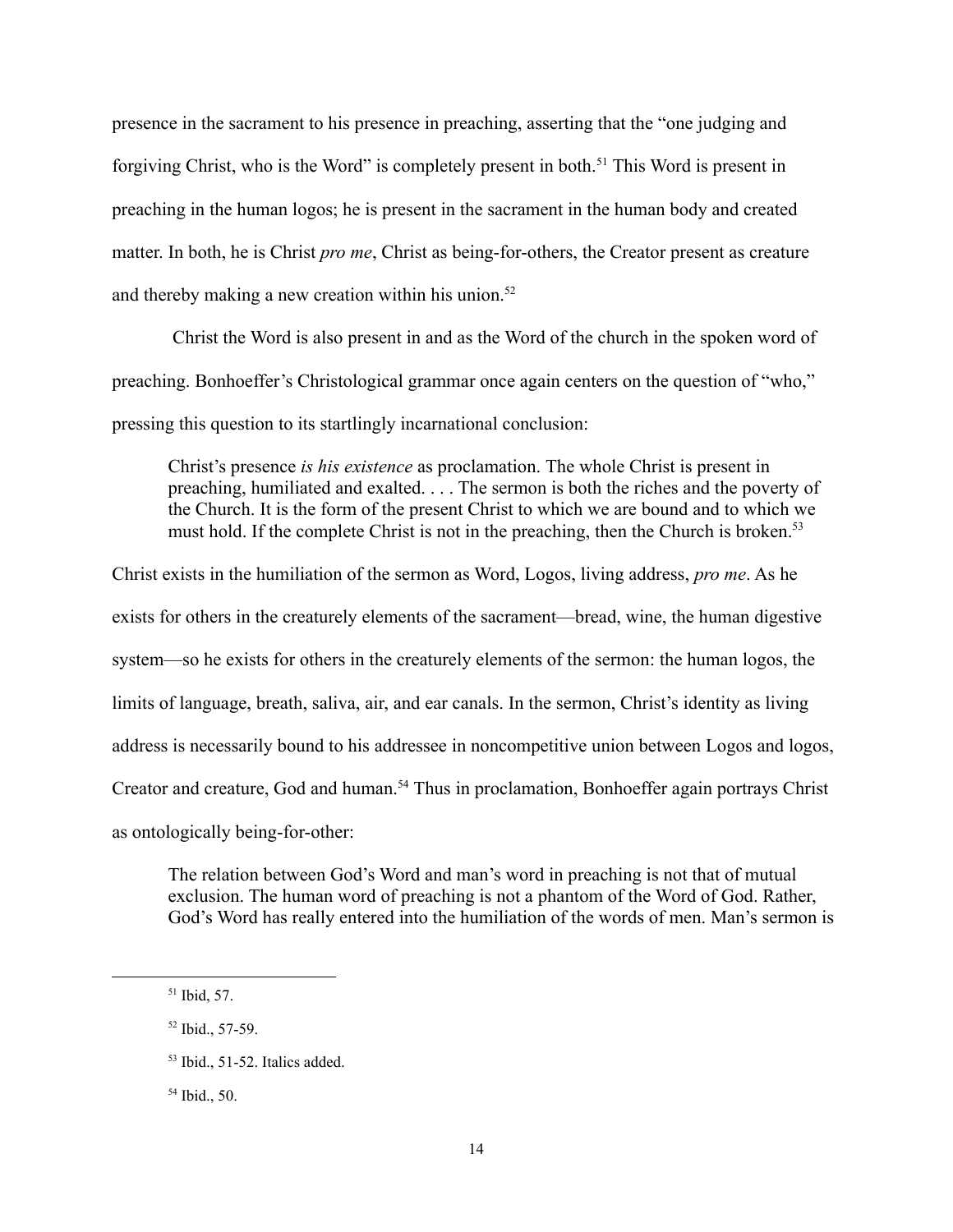presence in the sacrament to his presence in preaching, asserting that the "one judging and forgiving Christ, who is the Word" is completely present in both.<sup>51</sup> This Word is present in preaching in the human logos; he is present in the sacrament in the human body and created matter. In both, he is Christ *pro me*, Christ as being-for-others, the Creator present as creature and thereby making a new creation within his union. $52$ 

Christ the Word is also present in and as the Word of the church in the spoken word of preaching. Bonhoeffer's Christological grammar once again centers on the question of "who," pressing this question to its startlingly incarnational conclusion:

Christ's presence *is his existence* as proclamation. The whole Christ is present in preaching, humiliated and exalted. . . . The sermon is both the riches and the poverty of the Church. It is the form of the present Christ to which we are bound and to which we must hold. If the complete Christ is not in the preaching, then the Church is broken.<sup>53</sup>

Christ exists in the humiliation of the sermon as Word, Logos, living address, *pro me*. As he exists for others in the creaturely elements of the sacrament—bread, wine, the human digestive system—so he exists for others in the creaturely elements of the sermon: the human logos, the limits of language, breath, saliva, air, and ear canals. In the sermon, Christ's identity as living address is necessarily bound to his addressee in noncompetitive union between Logos and logos, Creator and creature, God and human.<sup>54</sup> Thus in proclamation, Bonhoeffer again portrays Christ as ontologically being-for-other:

The relation between God's Word and man's word in preaching is not that of mutual exclusion. The human word of preaching is not a phantom of the Word of God. Rather, God's Word has really entered into the humiliation of the words of men. Man's sermon is

 $51$  Ibid, 57.

<sup>52</sup> Ibid., 57-59.

<sup>53</sup> Ibid., 51-52. Italics added.

<sup>54</sup> Ibid., 50.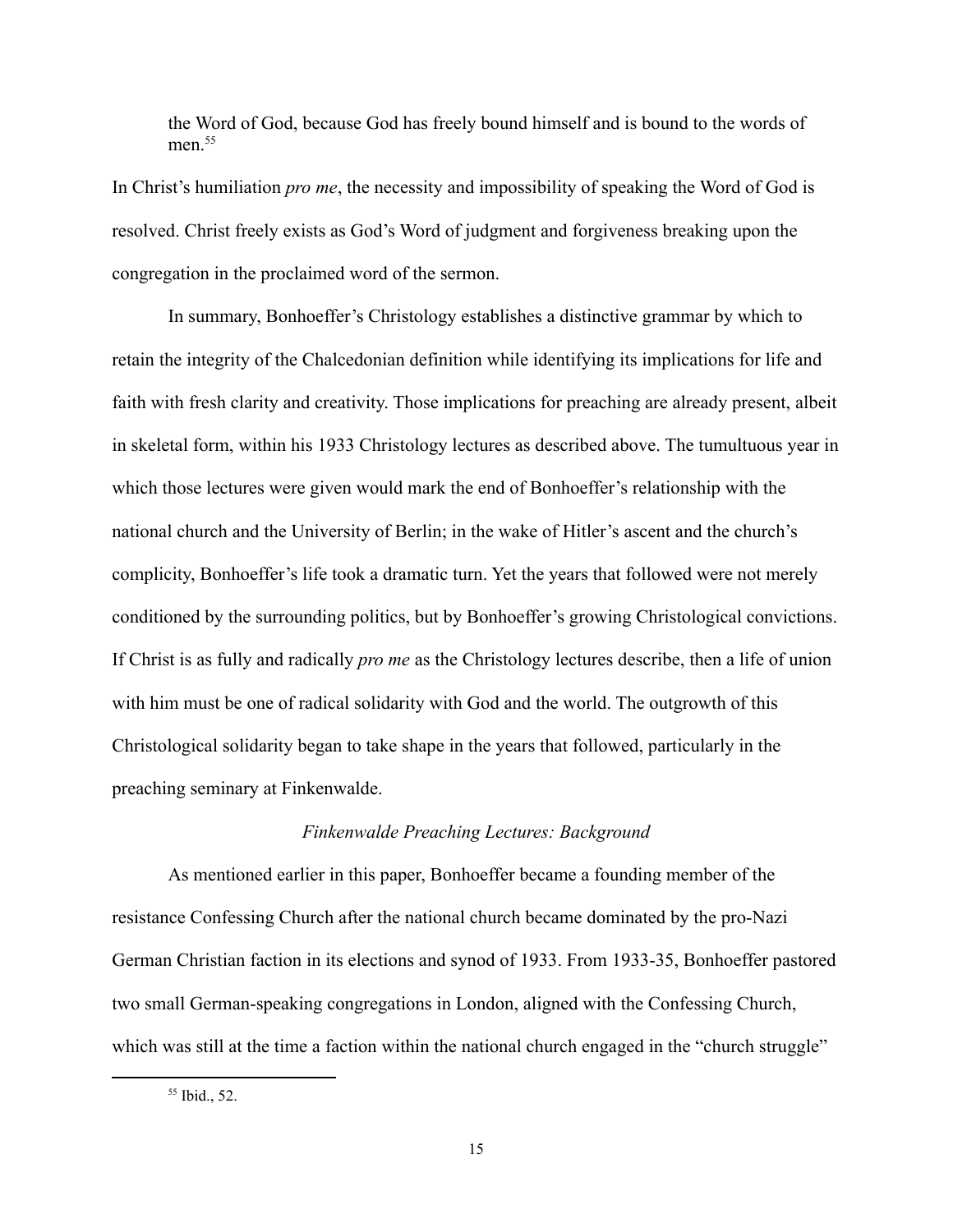the Word of God, because God has freely bound himself and is bound to the words of men $55$ 

In Christ's humiliation *pro me*, the necessity and impossibility of speaking the Word of God is resolved. Christ freely exists as God's Word of judgment and forgiveness breaking upon the congregation in the proclaimed word of the sermon.

In summary, Bonhoeffer's Christology establishes a distinctive grammar by which to retain the integrity of the Chalcedonian definition while identifying its implications for life and faith with fresh clarity and creativity. Those implications for preaching are already present, albeit in skeletal form, within his 1933 Christology lectures as described above. The tumultuous year in which those lectures were given would mark the end of Bonhoeffer's relationship with the national church and the University of Berlin; in the wake of Hitler's ascent and the church's complicity, Bonhoeffer's life took a dramatic turn. Yet the years that followed were not merely conditioned by the surrounding politics, but by Bonhoeffer's growing Christological convictions. If Christ is as fully and radically *pro me* as the Christology lectures describe, then a life of union with him must be one of radical solidarity with God and the world. The outgrowth of this Christological solidarity began to take shape in the years that followed, particularly in the preaching seminary at Finkenwalde.

#### *Finkenwalde Preaching Lectures: Background*

As mentioned earlier in this paper, Bonhoeffer became a founding member of the resistance Confessing Church after the national church became dominated by the pro-Nazi German Christian faction in its elections and synod of 1933. From 1933-35, Bonhoeffer pastored two small German-speaking congregations in London, aligned with the Confessing Church, which was still at the time a faction within the national church engaged in the "church struggle"

<sup>55</sup> Ibid., 52.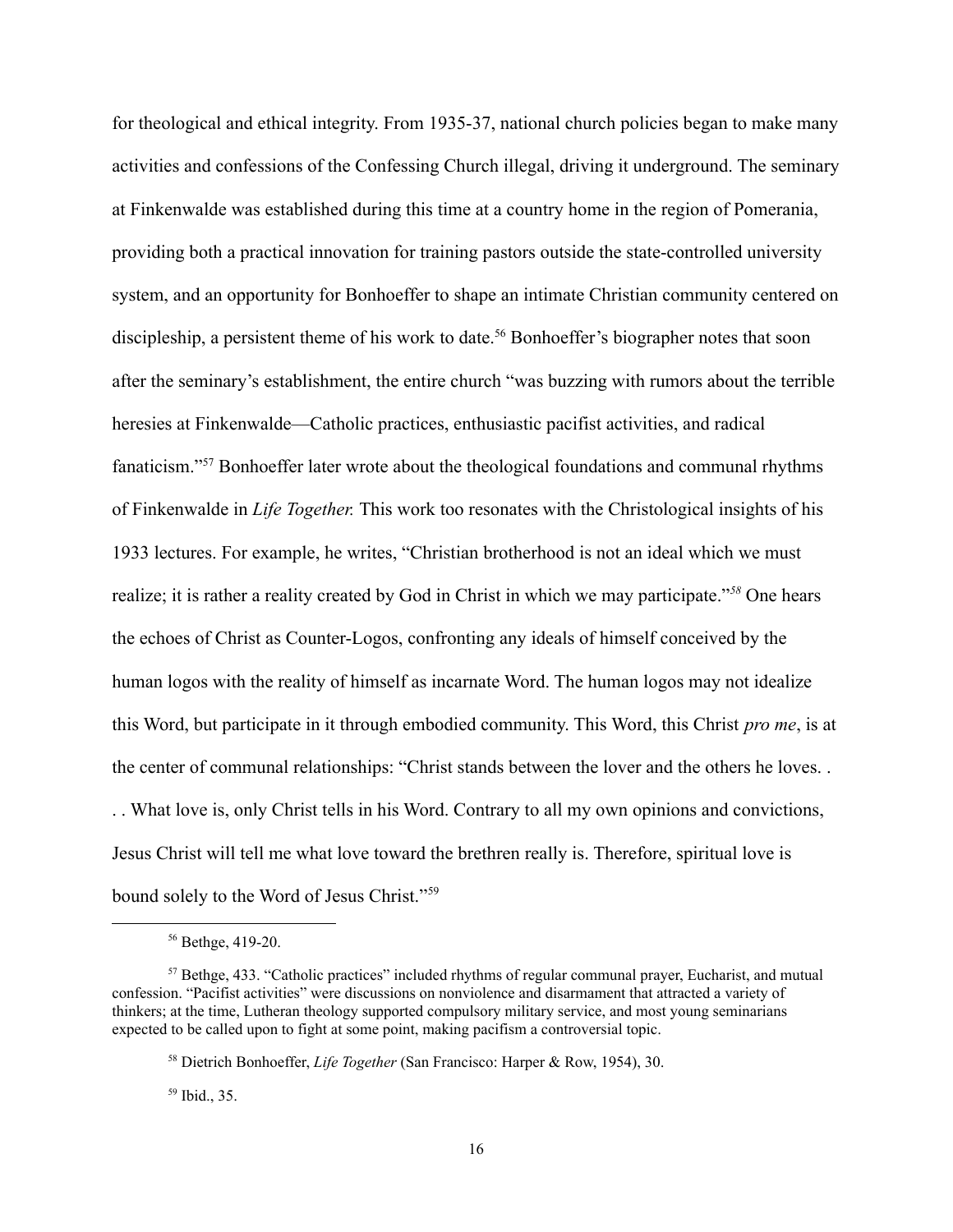for theological and ethical integrity. From 1935-37, national church policies began to make many activities and confessions of the Confessing Church illegal, driving it underground. The seminary at Finkenwalde was established during this time at a country home in the region of Pomerania, providing both a practical innovation for training pastors outside the state-controlled university system, and an opportunity for Bonhoeffer to shape an intimate Christian community centered on discipleship, a persistent theme of his work to date.<sup>56</sup> Bonhoeffer's biographer notes that soon after the seminary's establishment, the entire church "was buzzing with rumors about the terrible heresies at Finkenwalde—Catholic practices, enthusiastic pacifist activities, and radical fanaticism."57 Bonhoeffer later wrote about the theological foundations and communal rhythms of Finkenwalde in *Life Together.* This work too resonates with the Christological insights of his 1933 lectures. For example, he writes, "Christian brotherhood is not an ideal which we must realize; it is rather a reality created by God in Christ in which we may participate."*<sup>58</sup>* One hears the echoes of Christ as Counter-Logos, confronting any ideals of himself conceived by the human logos with the reality of himself as incarnate Word. The human logos may not idealize this Word, but participate in it through embodied community. This Word, this Christ *pro me*, is at the center of communal relationships: "Christ stands between the lover and the others he loves. . . . What love is, only Christ tells in his Word. Contrary to all my own opinions and convictions, Jesus Christ will tell me what love toward the brethren really is. Therefore, spiritual love is bound solely to the Word of Jesus Christ."59

<sup>59</sup> Ibid., 35.

<sup>56</sup> Bethge, 419-20.

<sup>57</sup> Bethge, 433. "Catholic practices" included rhythms of regular communal prayer, Eucharist, and mutual confession. "Pacifist activities" were discussions on nonviolence and disarmament that attracted a variety of thinkers; at the time, Lutheran theology supported compulsory military service, and most young seminarians expected to be called upon to fight at some point, making pacifism a controversial topic.

<sup>58</sup> Dietrich Bonhoeffer, *Life Together* (San Francisco: Harper & Row, 1954), 30.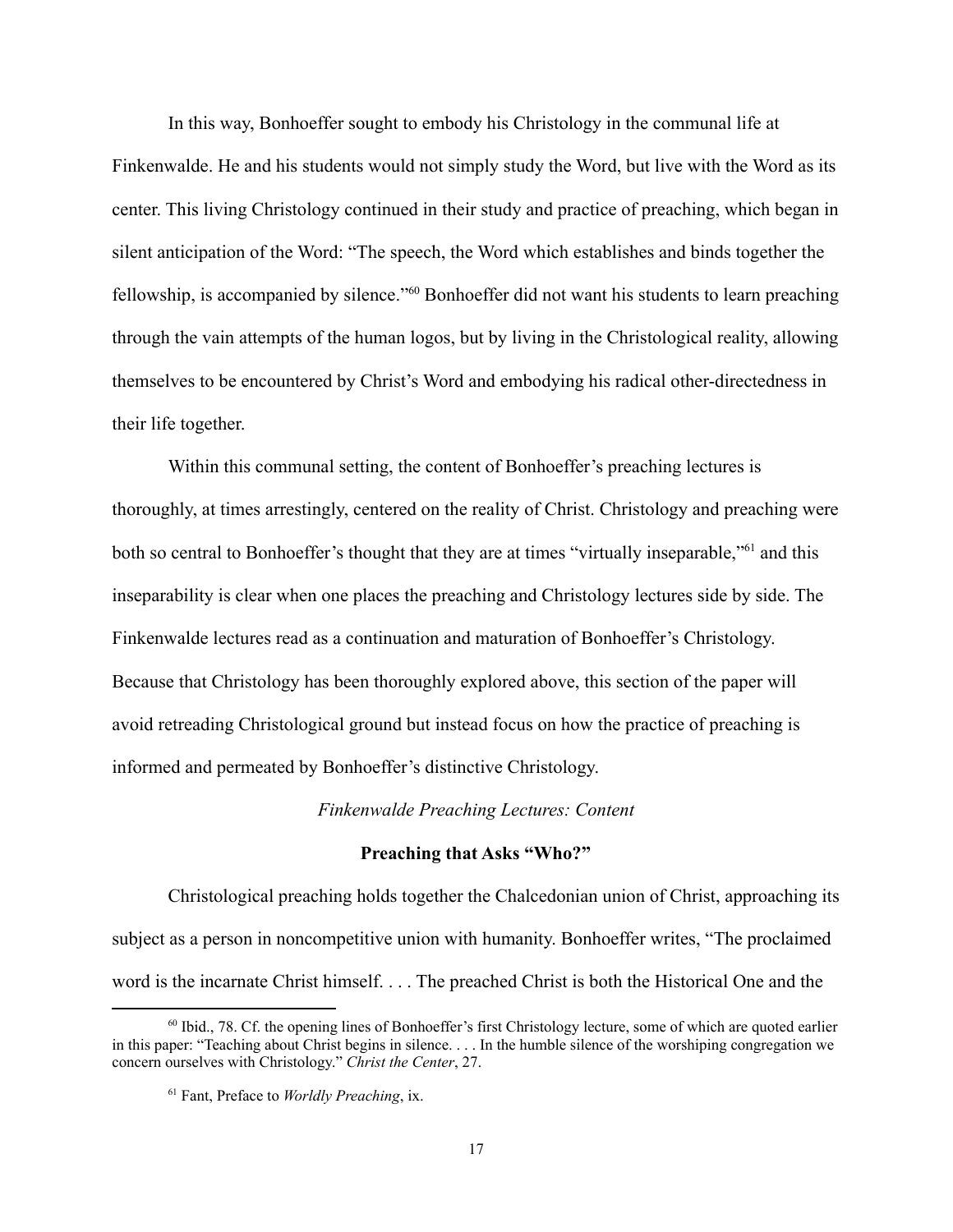In this way, Bonhoeffer sought to embody his Christology in the communal life at Finkenwalde. He and his students would not simply study the Word, but live with the Word as its center. This living Christology continued in their study and practice of preaching, which began in silent anticipation of the Word: "The speech, the Word which establishes and binds together the fellowship, is accompanied by silence."60 Bonhoeffer did not want his students to learn preaching through the vain attempts of the human logos, but by living in the Christological reality, allowing themselves to be encountered by Christ's Word and embodying his radical other-directedness in their life together.

Within this communal setting, the content of Bonhoeffer's preaching lectures is thoroughly, at times arrestingly, centered on the reality of Christ. Christology and preaching were both so central to Bonhoeffer's thought that they are at times "virtually inseparable,"<sup>61</sup> and this inseparability is clear when one places the preaching and Christology lectures side by side. The Finkenwalde lectures read as a continuation and maturation of Bonhoeffer's Christology. Because that Christology has been thoroughly explored above, this section of the paper will avoid retreading Christological ground but instead focus on how the practice of preaching is informed and permeated by Bonhoeffer's distinctive Christology.

#### *Finkenwalde Preaching Lectures: Content*

#### **Preaching that Asks "Who?"**

Christological preaching holds together the Chalcedonian union of Christ, approaching its subject as a person in noncompetitive union with humanity. Bonhoeffer writes, "The proclaimed word is the incarnate Christ himself. . . . The preached Christ is both the Historical One and the

<sup>60</sup> Ibid., 78. Cf. the opening lines of Bonhoeffer's first Christology lecture, some of which are quoted earlier in this paper: "Teaching about Christ begins in silence. . . . In the humble silence of the worshiping congregation we concern ourselves with Christology." *Christ the Center*, 27.

<sup>61</sup> Fant, Preface to *Worldly Preaching*, ix.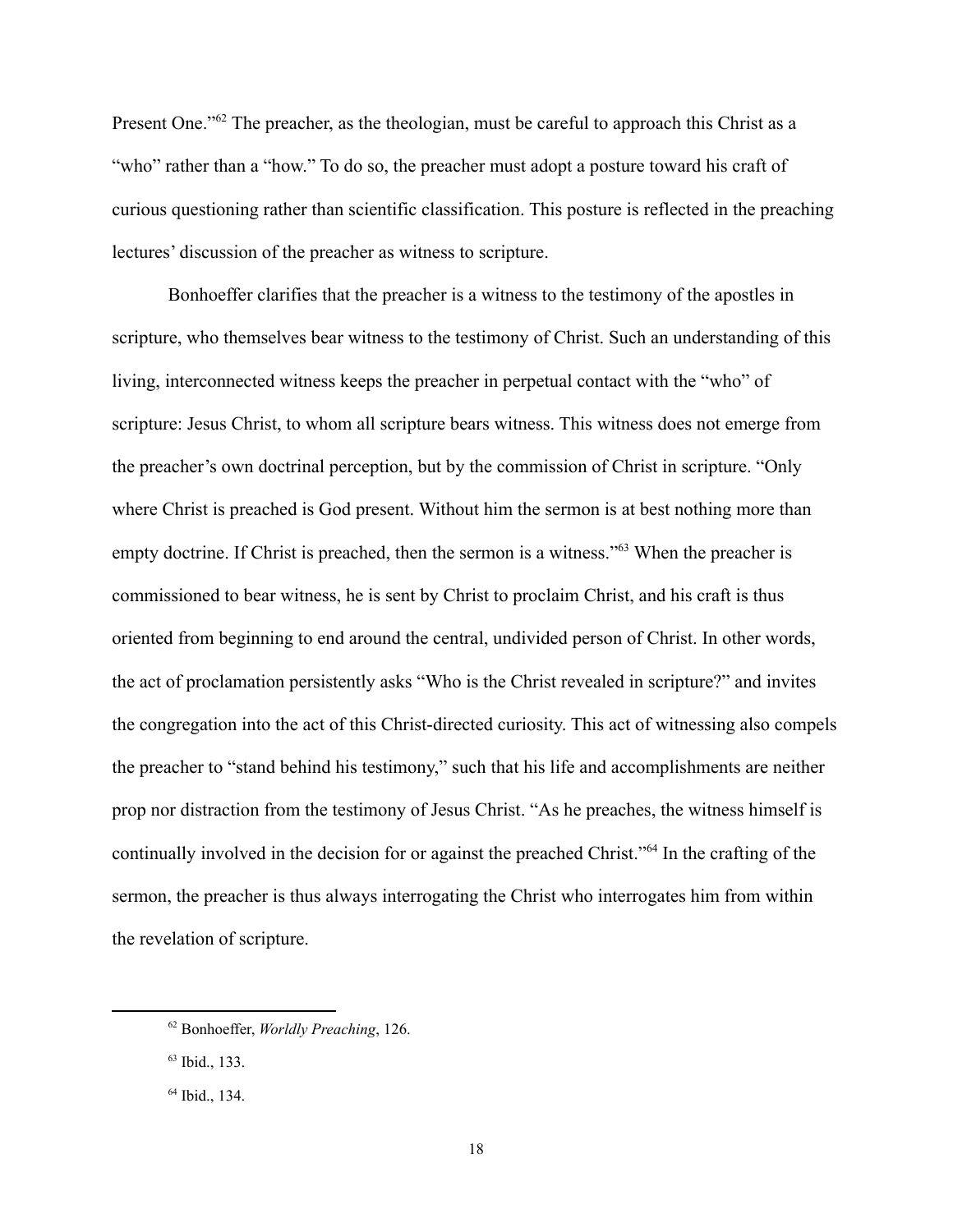Present One."<sup>62</sup> The preacher, as the theologian, must be careful to approach this Christ as a "who" rather than a "how." To do so, the preacher must adopt a posture toward his craft of curious questioning rather than scientific classification. This posture is reflected in the preaching lectures' discussion of the preacher as witness to scripture.

Bonhoeffer clarifies that the preacher is a witness to the testimony of the apostles in scripture, who themselves bear witness to the testimony of Christ. Such an understanding of this living, interconnected witness keeps the preacher in perpetual contact with the "who" of scripture: Jesus Christ, to whom all scripture bears witness. This witness does not emerge from the preacher's own doctrinal perception, but by the commission of Christ in scripture. "Only where Christ is preached is God present. Without him the sermon is at best nothing more than empty doctrine. If Christ is preached, then the sermon is a witness."<sup>63</sup> When the preacher is commissioned to bear witness, he is sent by Christ to proclaim Christ, and his craft is thus oriented from beginning to end around the central, undivided person of Christ. In other words, the act of proclamation persistently asks "Who is the Christ revealed in scripture?" and invites the congregation into the act of this Christ-directed curiosity. This act of witnessing also compels the preacher to "stand behind his testimony," such that his life and accomplishments are neither prop nor distraction from the testimony of Jesus Christ. "As he preaches, the witness himself is continually involved in the decision for or against the preached Christ."64 In the crafting of the sermon, the preacher is thus always interrogating the Christ who interrogates him from within the revelation of scripture.

<sup>62</sup> Bonhoeffer, *Worldly Preaching*, 126.

<sup>63</sup> Ibid., 133.

<sup>64</sup> Ibid., 134.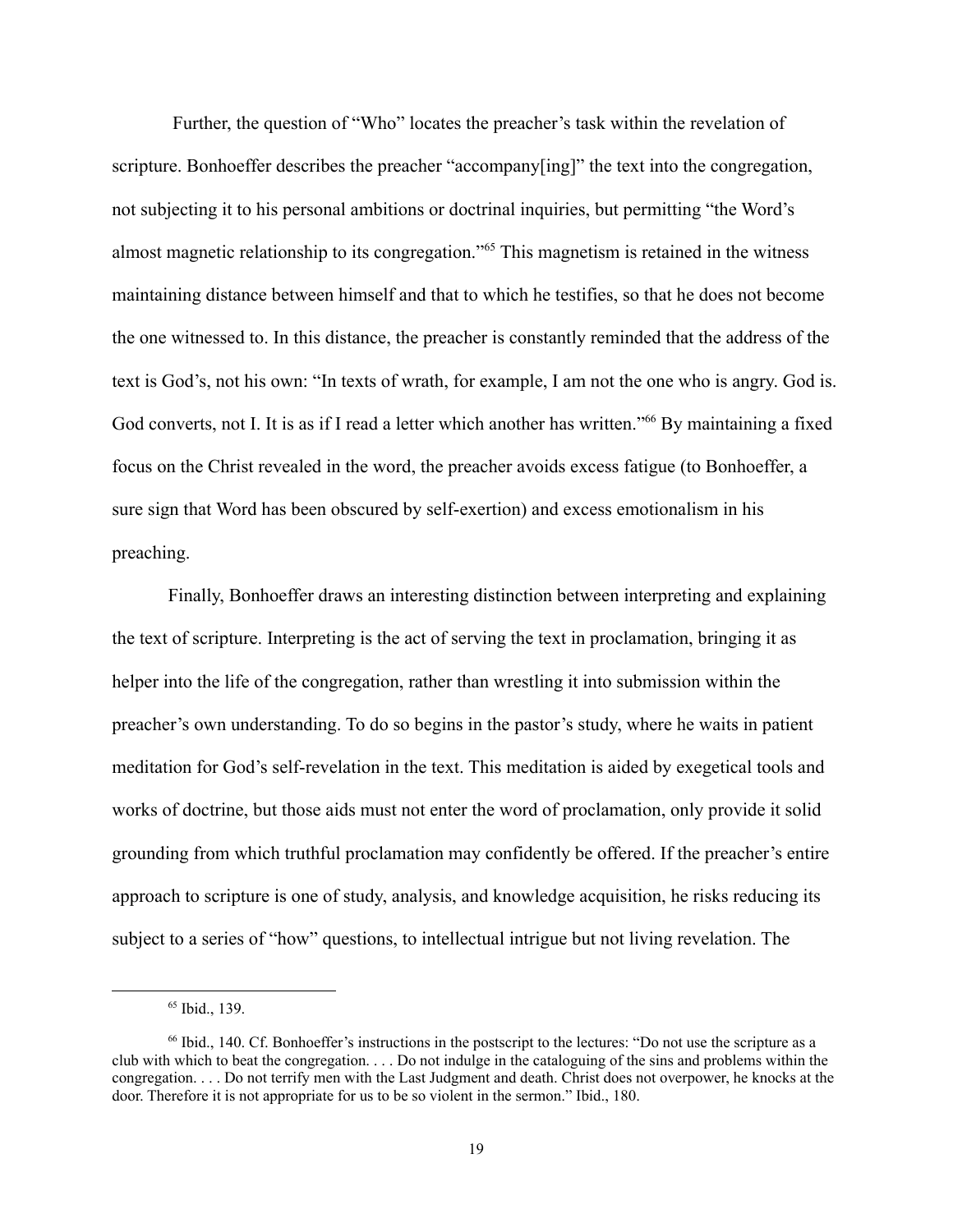Further, the question of "Who" locates the preacher's task within the revelation of scripture. Bonhoeffer describes the preacher "accompany[ing]" the text into the congregation, not subjecting it to his personal ambitions or doctrinal inquiries, but permitting "the Word's almost magnetic relationship to its congregation."65 This magnetism is retained in the witness maintaining distance between himself and that to which he testifies, so that he does not become the one witnessed to. In this distance, the preacher is constantly reminded that the address of the text is God's, not his own: "In texts of wrath, for example, I am not the one who is angry. God is. God converts, not I. It is as if I read a letter which another has written."<sup>66</sup> By maintaining a fixed focus on the Christ revealed in the word, the preacher avoids excess fatigue (to Bonhoeffer, a sure sign that Word has been obscured by self-exertion) and excess emotionalism in his preaching.

Finally, Bonhoeffer draws an interesting distinction between interpreting and explaining the text of scripture. Interpreting is the act of serving the text in proclamation, bringing it as helper into the life of the congregation, rather than wrestling it into submission within the preacher's own understanding. To do so begins in the pastor's study, where he waits in patient meditation for God's self-revelation in the text. This meditation is aided by exegetical tools and works of doctrine, but those aids must not enter the word of proclamation, only provide it solid grounding from which truthful proclamation may confidently be offered. If the preacher's entire approach to scripture is one of study, analysis, and knowledge acquisition, he risks reducing its subject to a series of "how" questions, to intellectual intrigue but not living revelation. The

<sup>65</sup> Ibid., 139.

<sup>66</sup> Ibid., 140. Cf. Bonhoeffer's instructions in the postscript to the lectures: "Do not use the scripture as a club with which to beat the congregation. . . . Do not indulge in the cataloguing of the sins and problems within the congregation. . . . Do not terrify men with the Last Judgment and death. Christ does not overpower, he knocks at the door. Therefore it is not appropriate for us to be so violent in the sermon." Ibid., 180.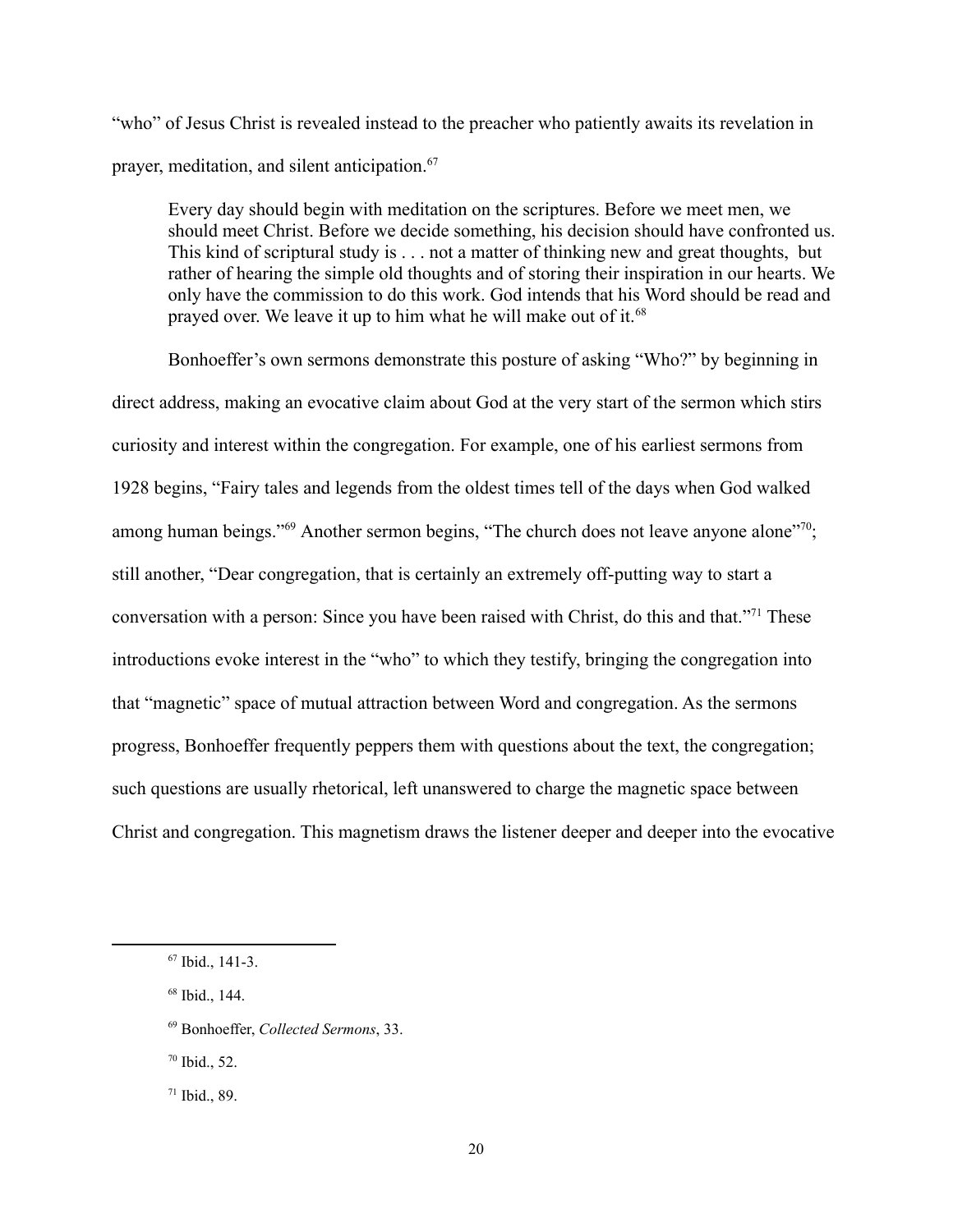"who" of Jesus Christ is revealed instead to the preacher who patiently awaits its revelation in prayer, meditation, and silent anticipation.67

Every day should begin with meditation on the scriptures. Before we meet men, we should meet Christ. Before we decide something, his decision should have confronted us. This kind of scriptural study is . . . not a matter of thinking new and great thoughts, but rather of hearing the simple old thoughts and of storing their inspiration in our hearts. We only have the commission to do this work. God intends that his Word should be read and prayed over. We leave it up to him what he will make out of it.<sup>68</sup>

Bonhoeffer's own sermons demonstrate this posture of asking "Who?" by beginning in direct address, making an evocative claim about God at the very start of the sermon which stirs curiosity and interest within the congregation. For example, one of his earliest sermons from 1928 begins, "Fairy tales and legends from the oldest times tell of the days when God walked among human beings."<sup>69</sup> Another sermon begins, "The church does not leave anyone alone"<sup>70</sup>; still another, "Dear congregation, that is certainly an extremely off-putting way to start a conversation with a person: Since you have been raised with Christ, do this and that."<sup>71</sup> These introductions evoke interest in the "who" to which they testify, bringing the congregation into that "magnetic" space of mutual attraction between Word and congregation. As the sermons progress, Bonhoeffer frequently peppers them with questions about the text, the congregation; such questions are usually rhetorical, left unanswered to charge the magnetic space between Christ and congregation. This magnetism draws the listener deeper and deeper into the evocative

<sup>70</sup> Ibid., 52.

<sup>71</sup> Ibid., 89.

<sup>67</sup> Ibid., 141-3.

<sup>68</sup> Ibid., 144.

<sup>69</sup> Bonhoeffer, *Collected Sermons*, 33.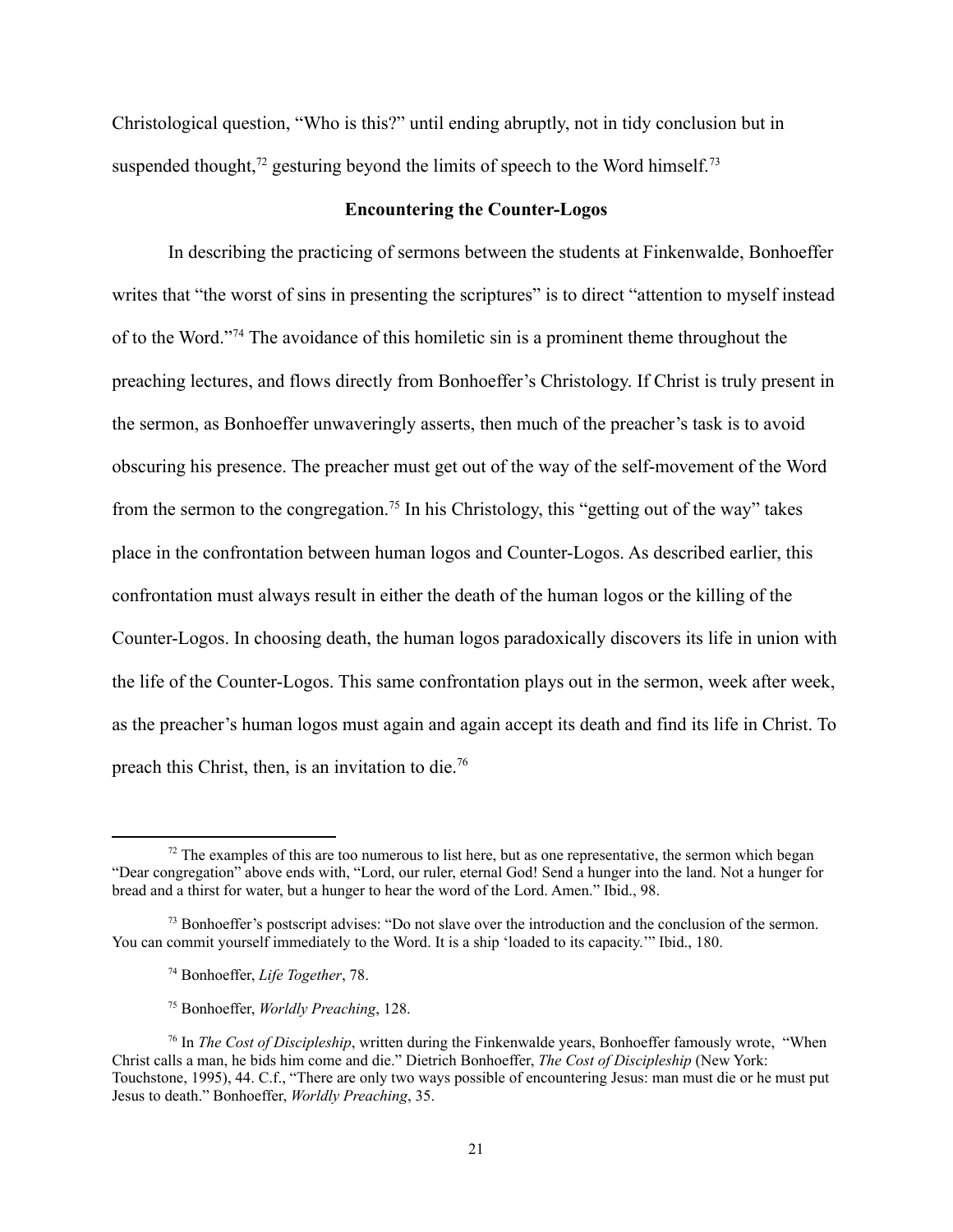Christological question, "Who is this?" until ending abruptly, not in tidy conclusion but in suspended thought, $72$  gesturing beyond the limits of speech to the Word himself. $73$ 

#### **Encountering the Counter-Logos**

In describing the practicing of sermons between the students at Finkenwalde, Bonhoeffer writes that "the worst of sins in presenting the scriptures" is to direct "attention to myself instead of to the Word."74 The avoidance of this homiletic sin is a prominent theme throughout the preaching lectures, and flows directly from Bonhoeffer's Christology. If Christ is truly present in the sermon, as Bonhoeffer unwaveringly asserts, then much of the preacher's task is to avoid obscuring his presence. The preacher must get out of the way of the self-movement of the Word from the sermon to the congregation.<sup>75</sup> In his Christology, this "getting out of the way" takes place in the confrontation between human logos and Counter-Logos. As described earlier, this confrontation must always result in either the death of the human logos or the killing of the Counter-Logos. In choosing death, the human logos paradoxically discovers its life in union with the life of the Counter-Logos. This same confrontation plays out in the sermon, week after week, as the preacher's human logos must again and again accept its death and find its life in Christ. To preach this Christ, then, is an invitation to die.76

 $72$  The examples of this are too numerous to list here, but as one representative, the sermon which began "Dear congregation" above ends with, "Lord, our ruler, eternal God! Send a hunger into the land. Not a hunger for bread and a thirst for water, but a hunger to hear the word of the Lord. Amen." Ibid., 98.

 $<sup>73</sup>$  Bonhoeffer's postscript advises: "Do not slave over the introduction and the conclusion of the sermon.</sup> You can commit yourself immediately to the Word. It is a ship 'loaded to its capacity.'" Ibid., 180.

<sup>74</sup> Bonhoeffer, *Life Together*, 78.

<sup>75</sup> Bonhoeffer, *Worldly Preaching*, 128.

<sup>76</sup> In *The Cost of Discipleship*, written during the Finkenwalde years, Bonhoeffer famously wrote, "When Christ calls a man, he bids him come and die." Dietrich Bonhoeffer, *The Cost of Discipleship* (New York: Touchstone, 1995), 44. C.f., "There are only two ways possible of encountering Jesus: man must die or he must put Jesus to death." Bonhoeffer, *Worldly Preaching*, 35.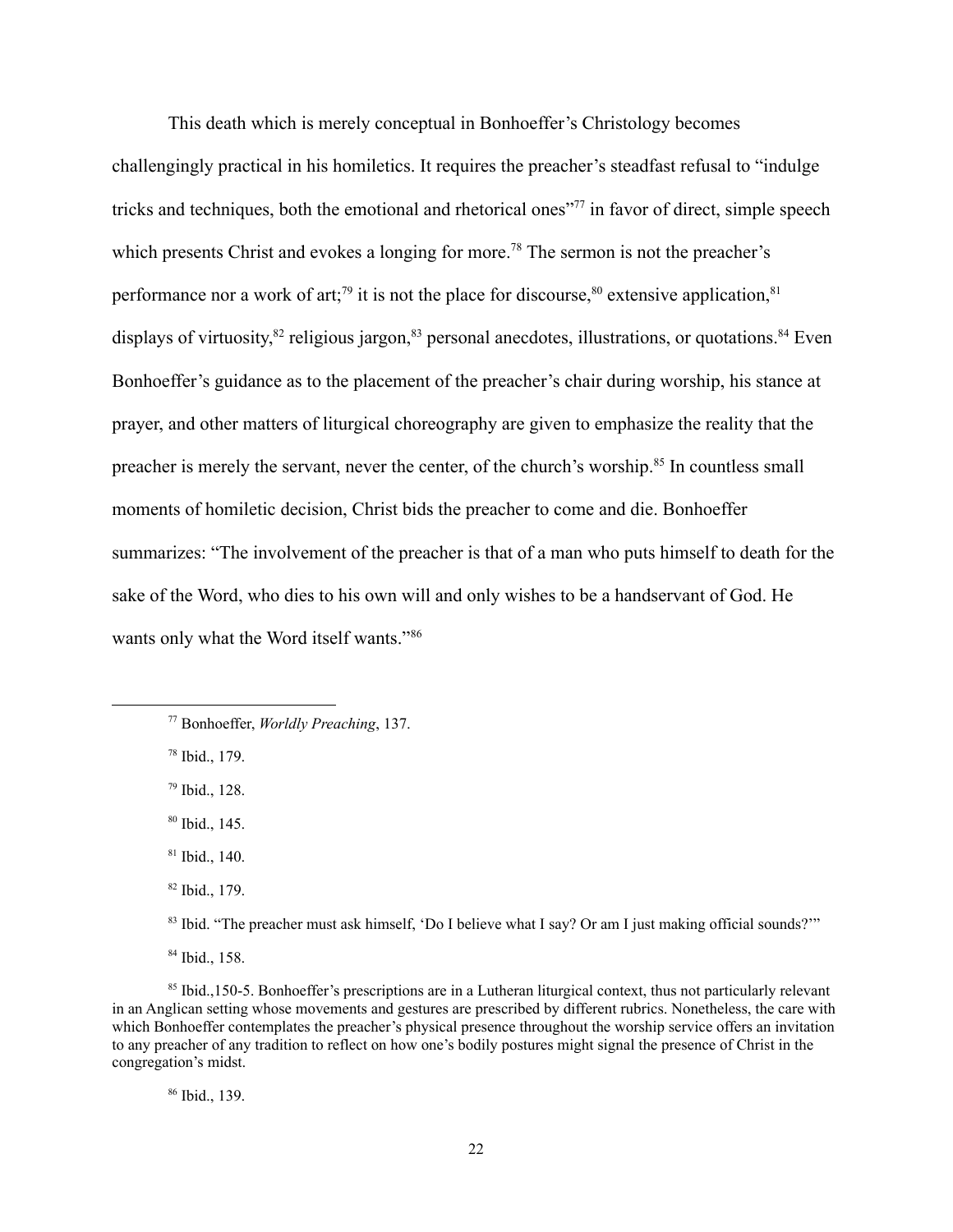This death which is merely conceptual in Bonhoeffer's Christology becomes challengingly practical in his homiletics. It requires the preacher's steadfast refusal to "indulge tricks and techniques, both the emotional and rhetorical ones"77 in favor of direct, simple speech which presents Christ and evokes a longing for more.<sup>78</sup> The sermon is not the preacher's performance nor a work of art;<sup>79</sup> it is not the place for discourse,  $80$  extensive application,  $81$ displays of virtuosity,<sup>82</sup> religious jargon,<sup>83</sup> personal anecdotes, illustrations, or quotations.<sup>84</sup> Even Bonhoeffer's guidance as to the placement of the preacher's chair during worship, his stance at prayer, and other matters of liturgical choreography are given to emphasize the reality that the preacher is merely the servant, never the center, of the church's worship.<sup>85</sup> In countless small moments of homiletic decision, Christ bids the preacher to come and die. Bonhoeffer summarizes: "The involvement of the preacher is that of a man who puts himself to death for the sake of the Word, who dies to his own will and only wishes to be a handservant of God. He wants only what the Word itself wants."<sup>86</sup>

<sup>78</sup> Ibid., 179.

<sup>79</sup> Ibid., 128.

<sup>80</sup> Ibid., 145.

<sup>82</sup> Ibid., 179.

<sup>84</sup> Ibid., 158.

<sup>86</sup> Ibid., 139.

<sup>77</sup> Bonhoeffer, *Worldly Preaching*, 137.

<sup>81</sup> Ibid., 140.

<sup>83</sup> Ibid. "The preacher must ask himself, 'Do I believe what I say? Or am I just making official sounds?'"

<sup>85</sup> Ibid.,150-5. Bonhoeffer's prescriptions are in a Lutheran liturgical context, thus not particularly relevant in an Anglican setting whose movements and gestures are prescribed by different rubrics. Nonetheless, the care with which Bonhoeffer contemplates the preacher's physical presence throughout the worship service offers an invitation to any preacher of any tradition to reflect on how one's bodily postures might signal the presence of Christ in the congregation's midst.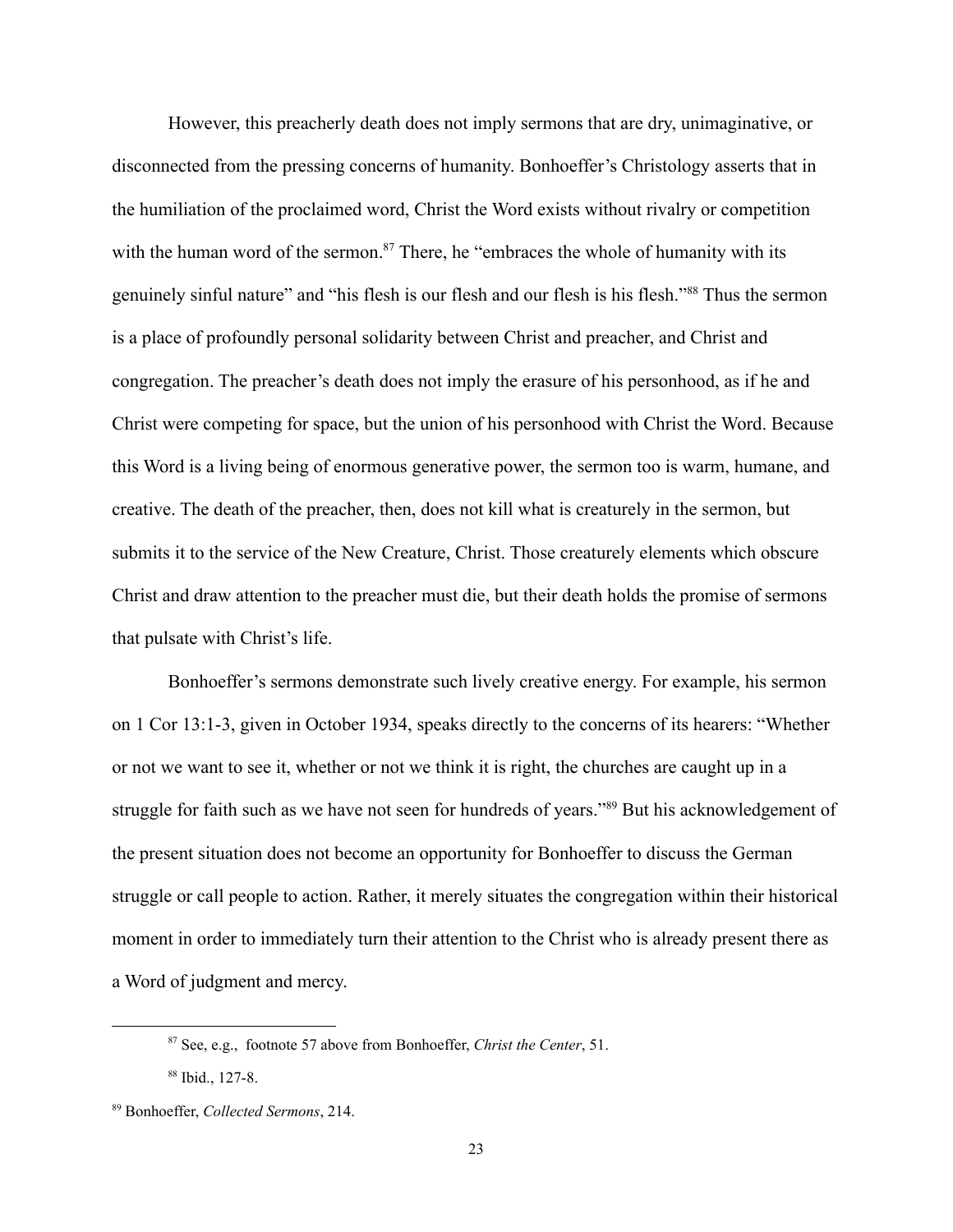However, this preacherly death does not imply sermons that are dry, unimaginative, or disconnected from the pressing concerns of humanity. Bonhoeffer's Christology asserts that in the humiliation of the proclaimed word, Christ the Word exists without rivalry or competition with the human word of the sermon. $87$  There, he "embraces the whole of humanity with its genuinely sinful nature" and "his flesh is our flesh and our flesh is his flesh."88 Thus the sermon is a place of profoundly personal solidarity between Christ and preacher, and Christ and congregation. The preacher's death does not imply the erasure of his personhood, as if he and Christ were competing for space, but the union of his personhood with Christ the Word. Because this Word is a living being of enormous generative power, the sermon too is warm, humane, and creative. The death of the preacher, then, does not kill what is creaturely in the sermon, but submits it to the service of the New Creature, Christ. Those creaturely elements which obscure Christ and draw attention to the preacher must die, but their death holds the promise of sermons that pulsate with Christ's life.

Bonhoeffer's sermons demonstrate such lively creative energy. For example, his sermon on 1 Cor 13:1-3, given in October 1934, speaks directly to the concerns of its hearers: "Whether or not we want to see it, whether or not we think it is right, the churches are caught up in a struggle for faith such as we have not seen for hundreds of years."89 But his acknowledgement of the present situation does not become an opportunity for Bonhoeffer to discuss the German struggle or call people to action. Rather, it merely situates the congregation within their historical moment in order to immediately turn their attention to the Christ who is already present there as a Word of judgment and mercy.

<sup>87</sup> See, e.g., footnote 57 above from Bonhoeffer, *Christ the Center*, 51.

<sup>88</sup> Ibid., 127-8.

<sup>89</sup> Bonhoeffer, *Collected Sermons*, 214.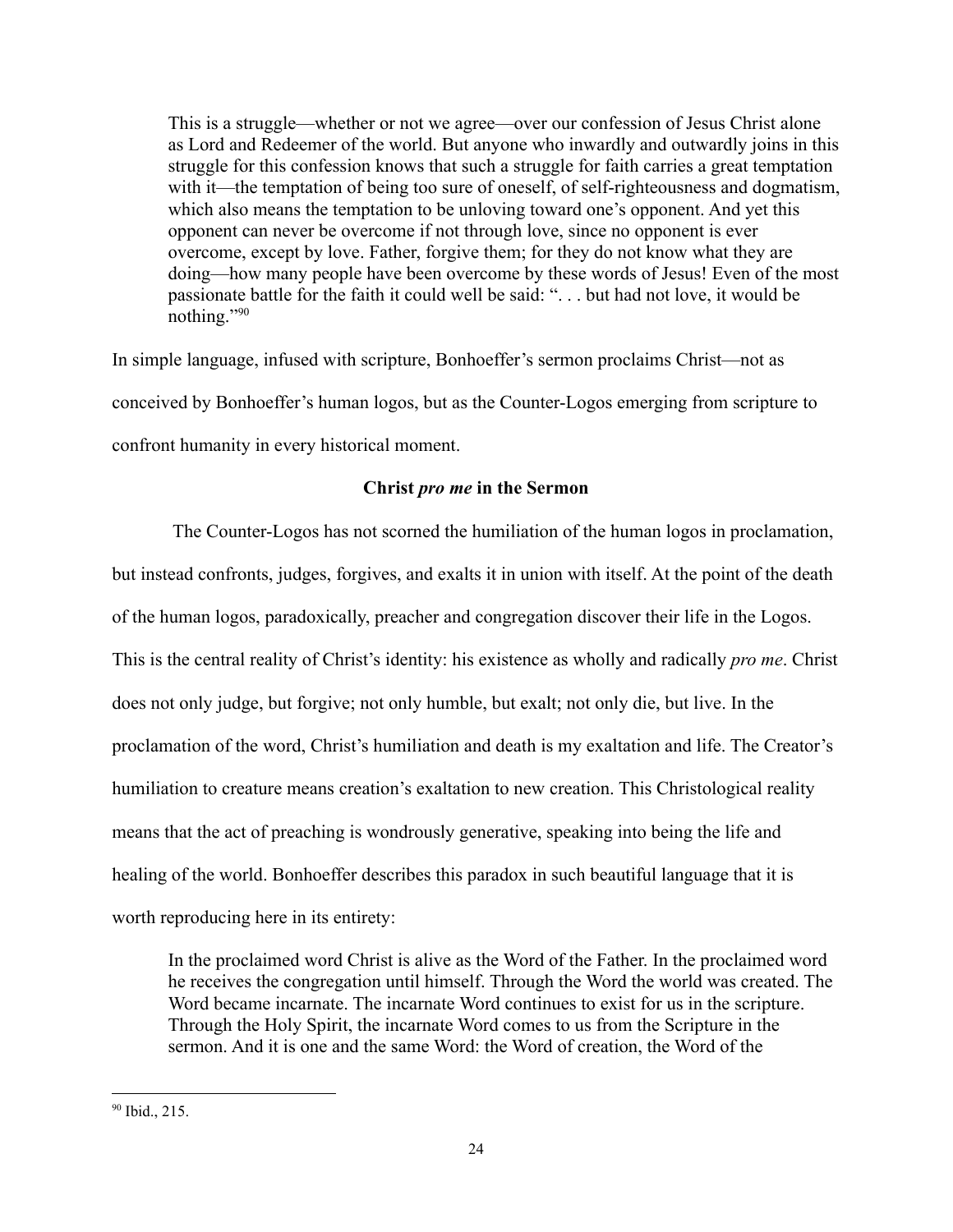This is a struggle—whether or not we agree—over our confession of Jesus Christ alone as Lord and Redeemer of the world. But anyone who inwardly and outwardly joins in this struggle for this confession knows that such a struggle for faith carries a great temptation with it—the temptation of being too sure of oneself, of self-righteousness and dogmatism, which also means the temptation to be unloving toward one's opponent. And yet this opponent can never be overcome if not through love, since no opponent is ever overcome, except by love. Father, forgive them; for they do not know what they are doing—how many people have been overcome by these words of Jesus! Even of the most passionate battle for the faith it could well be said: ". . . but had not love, it would be nothing."90

In simple language, infused with scripture, Bonhoeffer's sermon proclaims Christ—not as conceived by Bonhoeffer's human logos, but as the Counter-Logos emerging from scripture to confront humanity in every historical moment.

# **Christ** *pro me* **in the Sermon**

The Counter-Logos has not scorned the humiliation of the human logos in proclamation, but instead confronts, judges, forgives, and exalts it in union with itself. At the point of the death of the human logos, paradoxically, preacher and congregation discover their life in the Logos. This is the central reality of Christ's identity: his existence as wholly and radically *pro me*. Christ does not only judge, but forgive; not only humble, but exalt; not only die, but live. In the proclamation of the word, Christ's humiliation and death is my exaltation and life. The Creator's humiliation to creature means creation's exaltation to new creation. This Christological reality means that the act of preaching is wondrously generative, speaking into being the life and healing of the world. Bonhoeffer describes this paradox in such beautiful language that it is worth reproducing here in its entirety:

In the proclaimed word Christ is alive as the Word of the Father. In the proclaimed word he receives the congregation until himself. Through the Word the world was created. The Word became incarnate. The incarnate Word continues to exist for us in the scripture. Through the Holy Spirit, the incarnate Word comes to us from the Scripture in the sermon. And it is one and the same Word: the Word of creation, the Word of the

<sup>90</sup> Ibid., 215.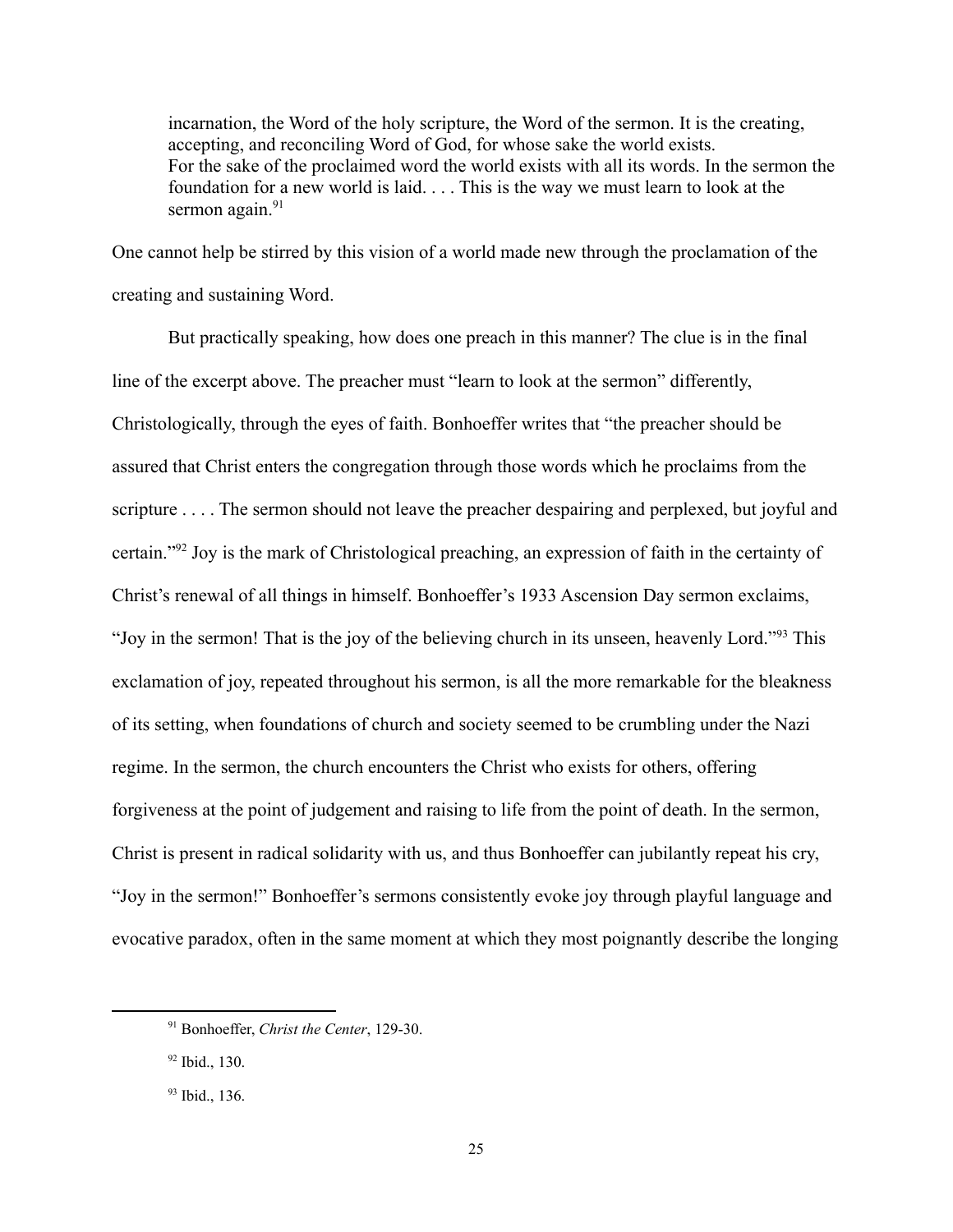incarnation, the Word of the holy scripture, the Word of the sermon. It is the creating, accepting, and reconciling Word of God, for whose sake the world exists. For the sake of the proclaimed word the world exists with all its words. In the sermon the foundation for a new world is laid. . . . This is the way we must learn to look at the sermon again. $91$ 

One cannot help be stirred by this vision of a world made new through the proclamation of the creating and sustaining Word.

But practically speaking, how does one preach in this manner? The clue is in the final line of the excerpt above. The preacher must "learn to look at the sermon" differently, Christologically, through the eyes of faith. Bonhoeffer writes that "the preacher should be assured that Christ enters the congregation through those words which he proclaims from the scripture . . . . The sermon should not leave the preacher despairing and perplexed, but joyful and certain."92 Joy is the mark of Christological preaching, an expression of faith in the certainty of Christ's renewal of all things in himself. Bonhoeffer's 1933 Ascension Day sermon exclaims, "Joy in the sermon! That is the joy of the believing church in its unseen, heavenly Lord."93 This exclamation of joy, repeated throughout his sermon, is all the more remarkable for the bleakness of its setting, when foundations of church and society seemed to be crumbling under the Nazi regime. In the sermon, the church encounters the Christ who exists for others, offering forgiveness at the point of judgement and raising to life from the point of death. In the sermon, Christ is present in radical solidarity with us, and thus Bonhoeffer can jubilantly repeat his cry, "Joy in the sermon!" Bonhoeffer's sermons consistently evoke joy through playful language and evocative paradox, often in the same moment at which they most poignantly describe the longing

<sup>91</sup> Bonhoeffer, *Christ the Center*, 129-30.

<sup>92</sup> Ibid., 130.

<sup>93</sup> Ibid., 136.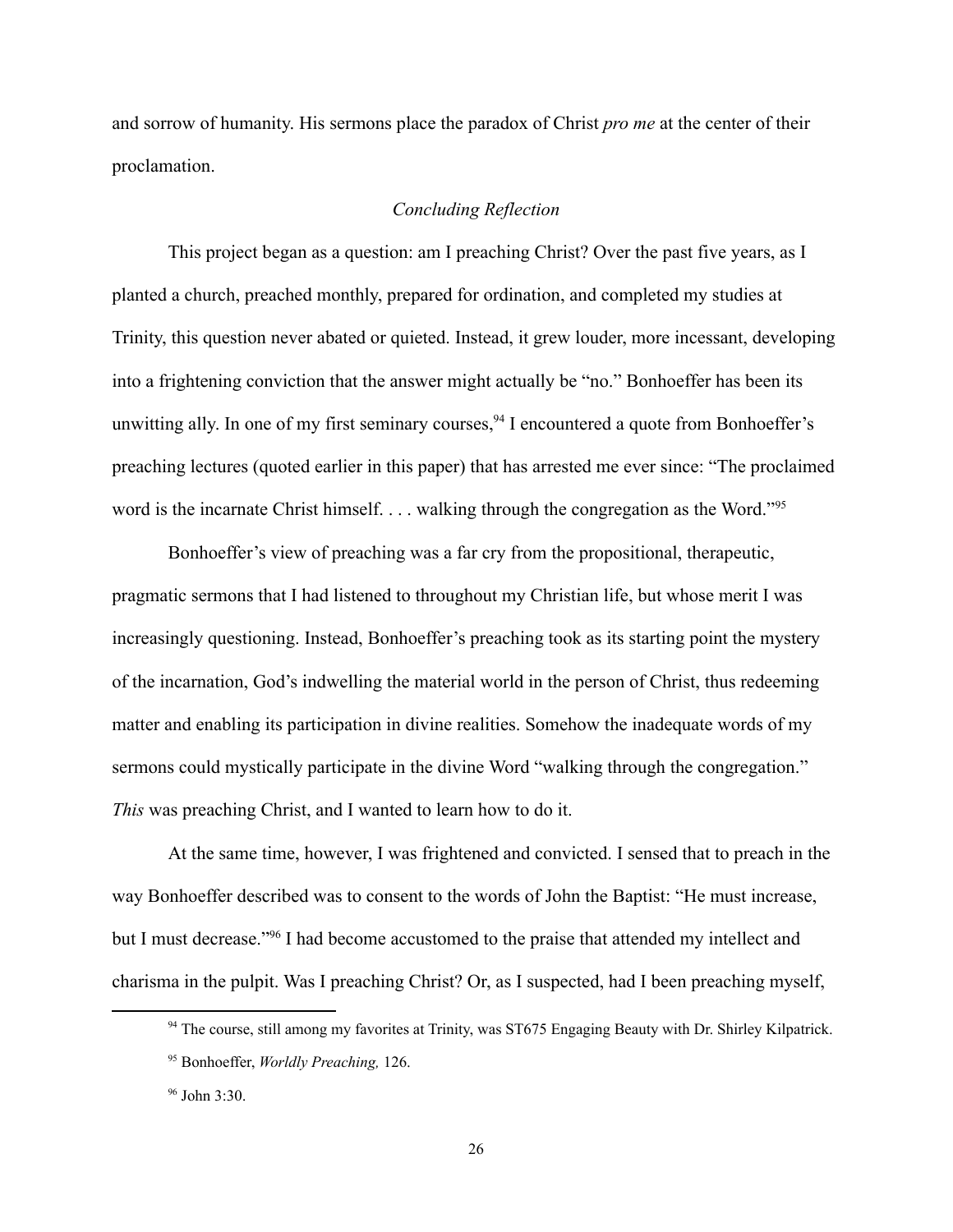and sorrow of humanity. His sermons place the paradox of Christ *pro me* at the center of their proclamation.

### *Concluding Reflection*

This project began as a question: am I preaching Christ? Over the past five years, as I planted a church, preached monthly, prepared for ordination, and completed my studies at Trinity, this question never abated or quieted. Instead, it grew louder, more incessant, developing into a frightening conviction that the answer might actually be "no." Bonhoeffer has been its unwitting ally. In one of my first seminary courses,  $94$  I encountered a quote from Bonhoeffer's preaching lectures (quoted earlier in this paper) that has arrested me ever since: "The proclaimed word is the incarnate Christ himself. . . . walking through the congregation as the Word."<sup>95</sup>

Bonhoeffer's view of preaching was a far cry from the propositional, therapeutic, pragmatic sermons that I had listened to throughout my Christian life, but whose merit I was increasingly questioning. Instead, Bonhoeffer's preaching took as its starting point the mystery of the incarnation, God's indwelling the material world in the person of Christ, thus redeeming matter and enabling its participation in divine realities. Somehow the inadequate words of my sermons could mystically participate in the divine Word "walking through the congregation." *This* was preaching Christ, and I wanted to learn how to do it.

At the same time, however, I was frightened and convicted. I sensed that to preach in the way Bonhoeffer described was to consent to the words of John the Baptist: "He must increase, but I must decrease."96 I had become accustomed to the praise that attended my intellect and charisma in the pulpit. Was I preaching Christ? Or, as I suspected, had I been preaching myself,

<sup>&</sup>lt;sup>94</sup> The course, still among my favorites at Trinity, was ST675 Engaging Beauty with Dr. Shirley Kilpatrick.

<sup>95</sup> Bonhoeffer, *Worldly Preaching,* 126.

<sup>96</sup> John 3:30.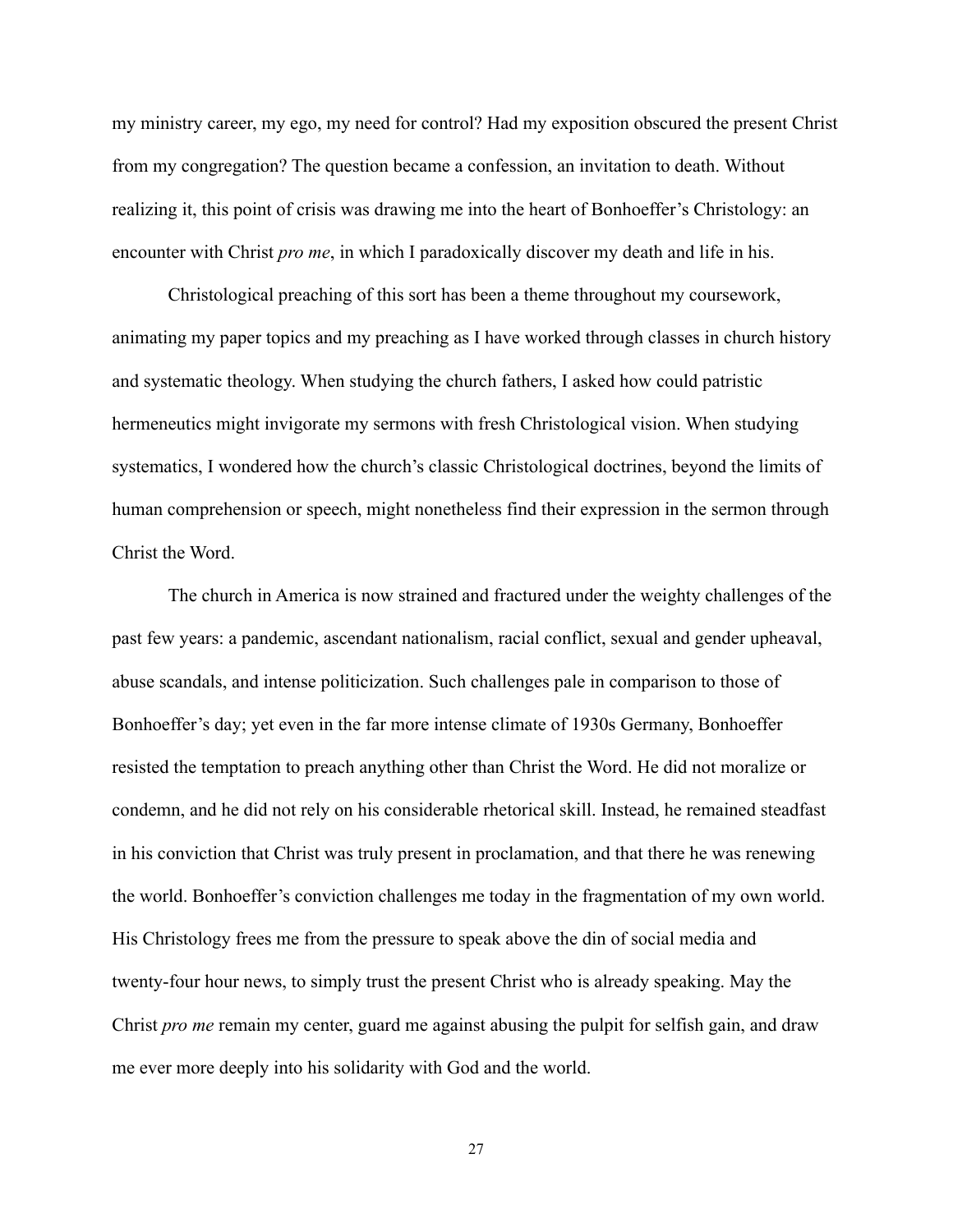my ministry career, my ego, my need for control? Had my exposition obscured the present Christ from my congregation? The question became a confession, an invitation to death. Without realizing it, this point of crisis was drawing me into the heart of Bonhoeffer's Christology: an encounter with Christ *pro me*, in which I paradoxically discover my death and life in his.

Christological preaching of this sort has been a theme throughout my coursework, animating my paper topics and my preaching as I have worked through classes in church history and systematic theology. When studying the church fathers, I asked how could patristic hermeneutics might invigorate my sermons with fresh Christological vision. When studying systematics, I wondered how the church's classic Christological doctrines, beyond the limits of human comprehension or speech, might nonetheless find their expression in the sermon through Christ the Word.

The church in America is now strained and fractured under the weighty challenges of the past few years: a pandemic, ascendant nationalism, racial conflict, sexual and gender upheaval, abuse scandals, and intense politicization. Such challenges pale in comparison to those of Bonhoeffer's day; yet even in the far more intense climate of 1930s Germany, Bonhoeffer resisted the temptation to preach anything other than Christ the Word. He did not moralize or condemn, and he did not rely on his considerable rhetorical skill. Instead, he remained steadfast in his conviction that Christ was truly present in proclamation, and that there he was renewing the world. Bonhoeffer's conviction challenges me today in the fragmentation of my own world. His Christology frees me from the pressure to speak above the din of social media and twenty-four hour news, to simply trust the present Christ who is already speaking. May the Christ *pro me* remain my center, guard me against abusing the pulpit for selfish gain, and draw me ever more deeply into his solidarity with God and the world.

27